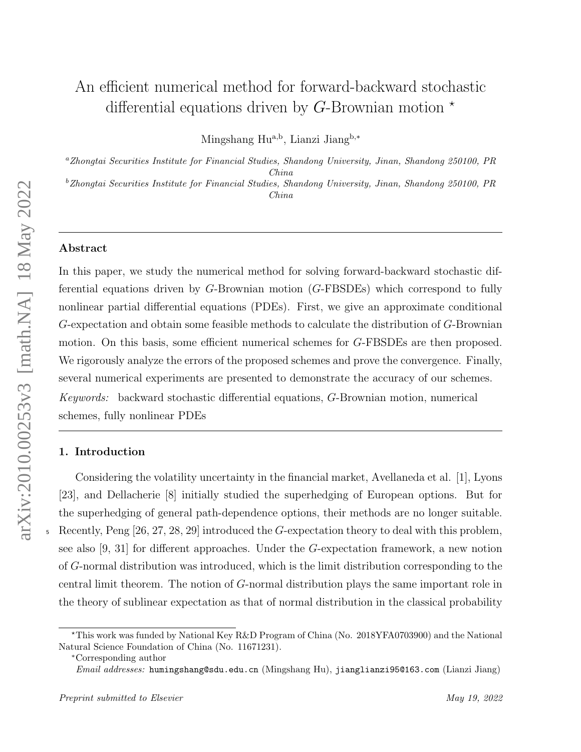# An efficient numerical method for forward-backward stochastic differential equations driven by  $G$ -Brownian motion  $*$

Mingshang Hu<sup>a,b</sup>, Lianzi Jiang<sup>b,\*</sup>

<sup>a</sup>Zhongtai Securities Institute for Financial Studies, Shandong University, Jinan, Shandong 250100, PR China

 $^{b}$ Zhongtai Securities Institute for Financial Studies, Shandong University, Jinan, Shandong 250100, PR China

# Abstract

In this paper, we study the numerical method for solving forward-backward stochastic differential equations driven by G-Brownian motion (G-FBSDEs) which correspond to fully nonlinear partial differential equations (PDEs). First, we give an approximate conditional G-expectation and obtain some feasible methods to calculate the distribution of G-Brownian motion. On this basis, some efficient numerical schemes for G-FBSDEs are then proposed. We rigorously analyze the errors of the proposed schemes and prove the convergence. Finally, several numerical experiments are presented to demonstrate the accuracy of our schemes. Keywords: backward stochastic differential equations, G-Brownian motion, numerical schemes, fully nonlinear PDEs

# 1. Introduction

Considering the volatility uncertainty in the financial market, Avellaneda et al. [1], Lyons [23], and Dellacherie [8] initially studied the superhedging of European options. But for the superhedging of general path-dependence options, their methods are no longer suitable. <sup>5</sup> Recently, Peng [26, 27, 28, 29] introduced the G-expectation theory to deal with this problem, see also [9, 31] for different approaches. Under the G-expectation framework, a new notion of G-normal distribution was introduced, which is the limit distribution corresponding to the central limit theorem. The notion of G-normal distribution plays the same important role in the theory of sublinear expectation as that of normal distribution in the classical probability

<sup>?</sup>This work was funded by National Key R&D Program of China (No. 2018YFA0703900) and the National Natural Science Foundation of China (No. 11671231).

<sup>∗</sup>Corresponding author

Email addresses: humingshang@sdu.edu.cn (Mingshang Hu), jianglianzi95@163.com (Lianzi Jiang)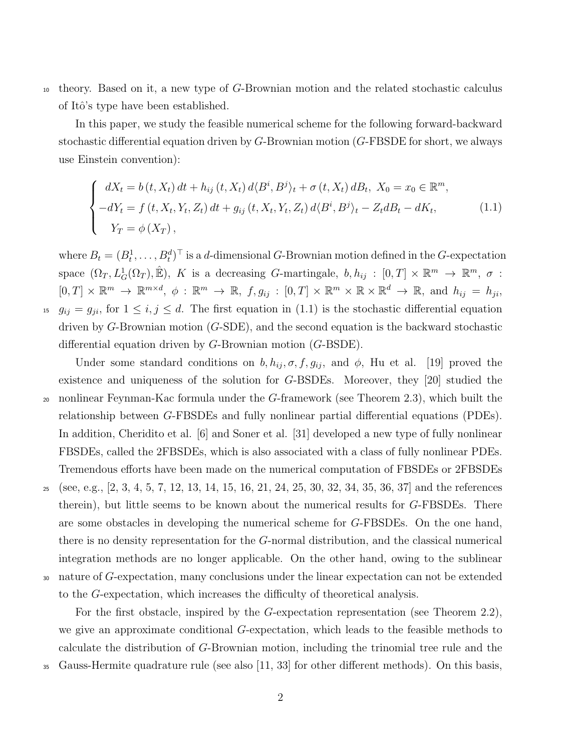<sup>10</sup> theory. Based on it, a new type of G-Brownian motion and the related stochastic calculus of Itô's type have been established.

In this paper, we study the feasible numerical scheme for the following forward-backward stochastic differential equation driven by G-Brownian motion (G-FBSDE for short, we always use Einstein convention):

$$
\begin{cases}\n dX_t = b(t, X_t) dt + h_{ij}(t, X_t) d\langle B^i, B^j \rangle_t + \sigma(t, X_t) dB_t, X_0 = x_0 \in \mathbb{R}^m, \\
 -dY_t = f(t, X_t, Y_t, Z_t) dt + g_{ij}(t, X_t, Y_t, Z_t) d\langle B^i, B^j \rangle_t - Z_t dB_t - dK_t, \\
 Y_T = \phi(X_T),\n\end{cases} \tag{1.1}
$$

where  $B_t = (B_t^1, \ldots, B_t^d)^\top$  is a d-dimensional G-Brownian motion defined in the G-expectation space  $(\Omega_T, L_G^1(\Omega_T), \hat{\mathbb{E}})$ , K is a decreasing G-martingale,  $b, h_{ij} : [0, T] \times \mathbb{R}^m \to \mathbb{R}^m$ ,  $\sigma$ :  $[0,T] \times \mathbb{R}^m \to \mathbb{R}^{m \times d}$ ,  $\phi : \mathbb{R}^m \to \mathbb{R}$ ,  $f, g_{ij} : [0,T] \times \mathbb{R}^m \times \mathbb{R} \times \mathbb{R}^d \to \mathbb{R}$ , and  $h_{ij} = h_{ji}$ ,  $g_{ij} = g_{ji}$ , for  $1 \leq i, j \leq d$ . The first equation in (1.1) is the stochastic differential equation driven by G-Brownian motion (G-SDE), and the second equation is the backward stochastic differential equation driven by G-Brownian motion (G-BSDE).

Under some standard conditions on  $b, h_{ij}, \sigma, f, g_{ij}$ , and  $\phi$ , Hu et al. [19] proved the existence and uniqueness of the solution for G-BSDEs. Moreover, they [20] studied the <sup>20</sup> nonlinear Feynman-Kac formula under the G-framework (see Theorem 2.3), which built the relationship between G-FBSDEs and fully nonlinear partial differential equations (PDEs). In addition, Cheridito et al. [6] and Soner et al. [31] developed a new type of fully nonlinear FBSDEs, called the 2FBSDEs, which is also associated with a class of fully nonlinear PDEs. Tremendous efforts have been made on the numerical computation of FBSDEs or 2FBSDEs  $25 \text{ (see, e.g., } [2, 3, 4, 5, 7, 12, 13, 14, 15, 16, 21, 24, 25, 30, 32, 34, 35, 36, 37]$  and the references therein), but little seems to be known about the numerical results for G-FBSDEs. There are some obstacles in developing the numerical scheme for G-FBSDEs. On the one hand, there is no density representation for the G-normal distribution, and the classical numerical integration methods are no longer applicable. On the other hand, owing to the sublinear <sup>30</sup> nature of G-expectation, many conclusions under the linear expectation can not be extended

to the G-expectation, which increases the difficulty of theoretical analysis.

For the first obstacle, inspired by the G-expectation representation (see Theorem 2.2), we give an approximate conditional G-expectation, which leads to the feasible methods to calculate the distribution of G-Brownian motion, including the trinomial tree rule and the

<sup>35</sup> Gauss-Hermite quadrature rule (see also [11, 33] for other different methods). On this basis,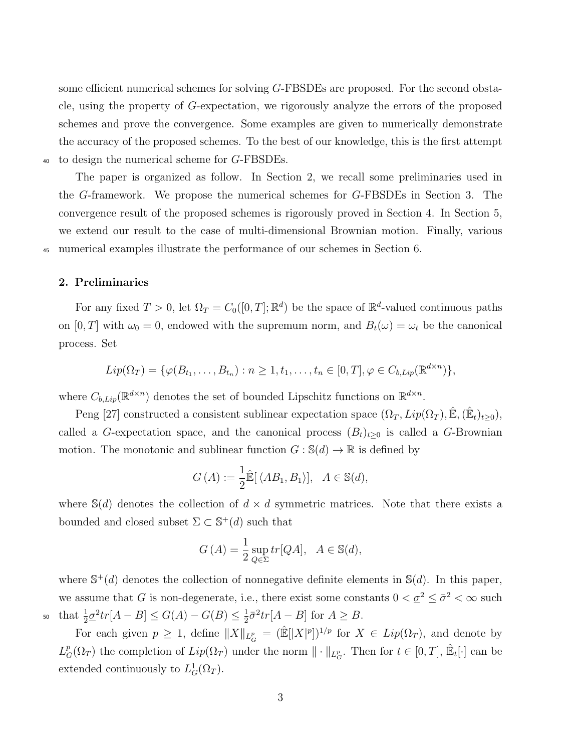some efficient numerical schemes for solving G-FBSDEs are proposed. For the second obstacle, using the property of G-expectation, we rigorously analyze the errors of the proposed schemes and prove the convergence. Some examples are given to numerically demonstrate the accuracy of the proposed schemes. To the best of our knowledge, this is the first attempt <sup>40</sup> to design the numerical scheme for G-FBSDEs.

The paper is organized as follow. In Section 2, we recall some preliminaries used in the G-framework. We propose the numerical schemes for G-FBSDEs in Section 3. The convergence result of the proposed schemes is rigorously proved in Section 4. In Section 5, we extend our result to the case of multi-dimensional Brownian motion. Finally, various <sup>45</sup> numerical examples illustrate the performance of our schemes in Section 6.

# 2. Preliminaries

For any fixed  $T > 0$ , let  $\Omega_T = C_0([0, T]; \mathbb{R}^d)$  be the space of  $\mathbb{R}^d$ -valued continuous paths on [0, T] with  $\omega_0 = 0$ , endowed with the supremum norm, and  $B_t(\omega) = \omega_t$  be the canonical process. Set

$$
Lip(\Omega_T) = \{ \varphi(B_{t_1}, \ldots, B_{t_n}) : n \ge 1, t_1, \ldots, t_n \in [0, T], \varphi \in C_{b, Lip}(\mathbb{R}^{d \times n}) \},
$$

where  $C_{b,Lip}(\mathbb{R}^{d\times n})$  denotes the set of bounded Lipschitz functions on  $\mathbb{R}^{d\times n}$ .

Peng [27] constructed a consistent sublinear expectation space  $(\Omega_T, Lip(\Omega_T), \hat{\mathbb{E}}, (\hat{\mathbb{E}}_t)_{t \geq 0}),$ called a G-expectation space, and the canonical process  $(B_t)_{t\geq0}$  is called a G-Brownian motion. The monotonic and sublinear function  $G : \mathcal{S}(d) \to \mathbb{R}$  is defined by

$$
G(A) := \frac{1}{2} \mathbb{E}[\langle AB_1, B_1 \rangle], \quad A \in \mathbb{S}(d),
$$

where  $\mathcal{S}(d)$  denotes the collection of  $d \times d$  symmetric matrices. Note that there exists a bounded and closed subset  $\Sigma \subset \mathbb{S}^+(d)$  such that

$$
G(A) = \frac{1}{2} \sup_{Q \in \Sigma} tr[QA], \quad A \in \mathbb{S}(d),
$$

where  $\mathbb{S}^+(d)$  denotes the collection of nonnegative definite elements in  $\mathbb{S}(d)$ . In this paper, we assume that G is non-degenerate, i.e., there exist some constants  $0 < \underline{\sigma}^2 \leq \bar{\sigma}^2 < \infty$  such that  $\frac{1}{2}\underline{\sigma}^2 tr[A - B] \leq G(A) - G(B) \leq \frac{1}{2}$ so that  $\frac{1}{2} \underline{\sigma}^2 tr[A - B] \leq G(A) - G(B) \leq \frac{1}{2} \bar{\sigma}^2 tr[A - B]$  for  $A \geq B$ .

For each given  $p \geq 1$ , define  $||X||_{L^p_G} = (\mathbb{E}[|X|^p])^{1/p}$  for  $X \in Lip(\Omega_T)$ , and denote by  $L_G^p(\Omega_T)$  the completion of  $Lip(\Omega_T)$  under the norm  $\|\cdot\|_{L_G^p}$ . Then for  $t \in [0,T]$ ,  $\mathbb{E}_t[\cdot]$  can be extended continuously to  $L_G^1(\Omega_T)$ .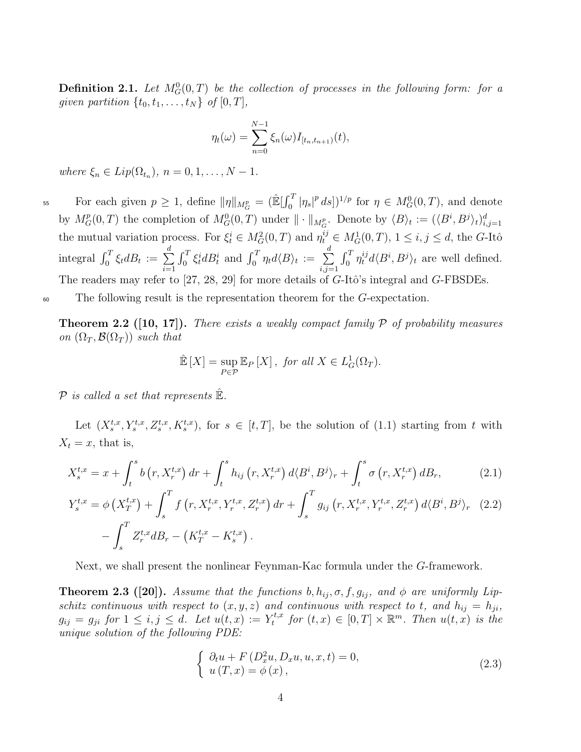**Definition 2.1.** Let  $M_G^0(0,T)$  be the collection of processes in the following form: for a given partition  $\{t_0, t_1, \ldots, t_N\}$  of  $[0, T]$ ,

$$
\eta_t(\omega) = \sum_{n=0}^{N-1} \xi_n(\omega) I_{[t_n, t_{n+1})}(t),
$$

where  $\xi_n \in Lip(\Omega_{t_n}), n = 0, 1, \ldots, N - 1.$ 

For each given  $p \geq 1$ , define  $\|\eta\|_{M^p_G} = (\mathbb{E}[\int_0^T |\eta_s|^p ds])^{1/p}$  for  $\eta \in M^0_G(0,T)$ , and denote by  $M_G^p(0,T)$  the completion of  $M_G^0(0,T)$  under  $\|\cdot\|_{M_G^p}$ . Denote by  $\langle B \rangle_t := (\langle B^i, B^j \rangle_t)_{i,j=1}^d$ the mutual variation process. For  $\xi_t^i \in M_G^2(0,T)$  and  $\eta_t^{ij} \in M_G^1(0,T)$ ,  $1 \le i, j \le d$ , the G-Itô integral  $\int_0^T \xi_t dB_t := \sum_{i=1}^d$  $i=1$  $\int_0^T \xi_t^i dB_t^i$  and  $\int_0^T \eta_t d\langle B \rangle_t := \sum_{i=1}^d$  $i,j=1$  $\int_0^T \eta_t^{ij} d\langle B^i, B^j \rangle_t$  are well defined. The readers may refer to  $[27, 28, 29]$  for more details of  $G$ -Itô's integral and  $G$ -FBSDEs.

<sup>60</sup> The following result is the representation theorem for the G-expectation.

**Theorem 2.2** ([10, 17]). There exists a weakly compact family  $P$  of probability measures

on  $(\Omega_T, \mathcal{B}(\Omega_T))$  such that

$$
\mathbb{\hat{E}}\left[X\right] = \sup_{P \in \mathcal{P}} \mathbb{E}_P\left[X\right], \text{ for all } X \in L_G^1(\Omega_T).
$$

 $P$  is called a set that represents  $\mathbb{E}$ .

Let  $(X_s^{t,x}, Y_s^{t,x}, Z_s^{t,x}, K_s^{t,x})$ , for  $s \in [t, T]$ , be the solution of  $(1.1)$  starting from t with  $X_t = x$ , that is,

$$
X_s^{t,x} = x + \int_t^s b(r, X_r^{t,x}) dr + \int_t^s h_{ij}(r, X_r^{t,x}) d\langle B^i, B^j \rangle_r + \int_t^s \sigma(r, X_r^{t,x}) dB_r, \tag{2.1}
$$

$$
Y_s^{t,x} = \phi\left(X_T^{t,x}\right) + \int_s^T f\left(r, X_r^{t,x}, Y_r^{t,x}, Z_r^{t,x}\right) dr + \int_s^T g_{ij}\left(r, X_r^{t,x}, Y_r^{t,x}, Z_r^{t,x}\right) d\langle B^i, B^j \rangle_r \tag{2.2}
$$

$$
- \int_s^T Z_r^{t,x} dB_r - \left(K_T^{t,x} - K_s^{t,x}\right).
$$

Next, we shall present the nonlinear Feynman-Kac formula under the G-framework.

**Theorem 2.3 ([20]).** Assume that the functions  $b, h_{ij}, \sigma, f, g_{ij}$ , and  $\phi$  are uniformly Lipschitz continuous with respect to  $(x, y, z)$  and continuous with respect to t, and  $h_{ij} = h_{ji}$ ,  $g_{ij} = g_{ji}$  for  $1 \leq i, j \leq d$ . Let  $u(t, x) := Y_t^{t, x}$  $t_t^{t,x}$  for  $(t,x) \in [0,T] \times \mathbb{R}^m$ . Then  $u(t,x)$  is the unique solution of the following PDE:

$$
\begin{cases}\n\partial_t u + F(D_x^2 u, D_x u, u, x, t) = 0, \\
u(T, x) = \phi(x),\n\end{cases}
$$
\n(2.3)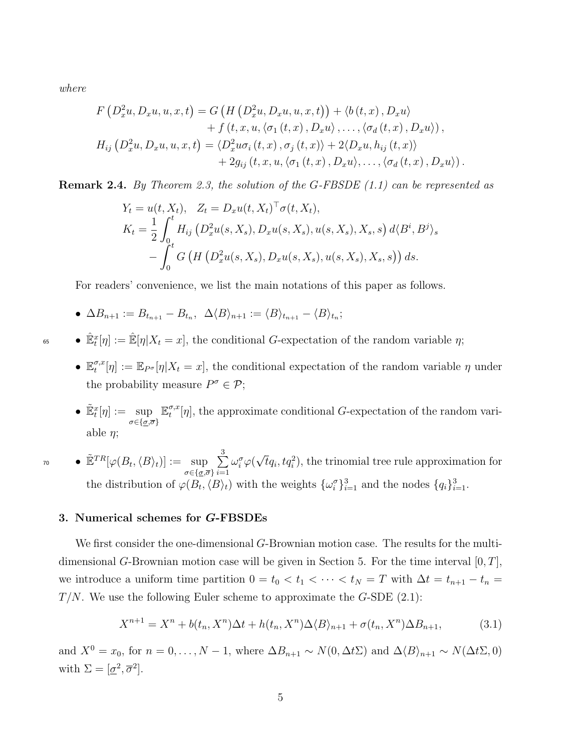where

$$
F(D_x^2u, D_xu, u, x, t) = G\left(H(D_x^2u, D_xu, u, x, t)\right) + \langle b(t, x), D_xu \rangle + f(t, x, u, \langle \sigma_1(t, x), D_xu \rangle, \dots, \langle \sigma_d(t, x), D_xu \rangle),
$$
  

$$
H_{ij}(D_x^2u, D_xu, u, x, t) = \langle D_x^2u\sigma_i(t, x), \sigma_j(t, x) \rangle + 2\langle D_xu, h_{ij}(t, x) \rangle + 2g_{ij}(t, x, u, \langle \sigma_1(t, x), D_xu \rangle, \dots, \langle \sigma_d(t, x), D_xu \rangle).
$$

**Remark 2.4.** By Theorem 2.3, the solution of the  $G$ -FBSDE  $(1.1)$  can be represented as

$$
Y_t = u(t, X_t), \quad Z_t = D_x u(t, X_t)^\top \sigma(t, X_t),
$$
  
\n
$$
K_t = \frac{1}{2} \int_0^t H_{ij} \left( D_x^2 u(s, X_s), D_x u(s, X_s), u(s, X_s), X_s, s \right) d\langle B^i, B^j \rangle_s
$$
  
\n
$$
- \int_0^t G \left( H \left( D_x^2 u(s, X_s), D_x u(s, X_s), u(s, X_s), X_s, s \right) \right) ds.
$$

For readers' convenience, we list the main notations of this paper as follows.

- $\Delta B_{n+1} := B_{t_{n+1}} B_{t_n}, \ \ \Delta \langle B \rangle_{n+1} := \langle B \rangle_{t_{n+1}} \langle B \rangle_{t_n};$
- $\hat{\mathbb{E}}_t^x[\eta] := \hat{\mathbb{E}}[\eta|X_t = x],$  the conditional G-expectation of the random variable  $\eta$ ;
	- $\bullet \ \mathbb{E}^{\sigma,x}_t$  $\mathcal{F}_t^{\sigma,x}[\eta] := \mathbb{E}_{P^{\sigma}}[\eta|X_t = x]$ , the conditional expectation of the random variable  $\eta$  under the probability measure  $P^{\sigma} \in \mathcal{P}$ ;
	- $\tilde{\mathbb{E}}_t^x[\eta] := \sup$  $\sigma \in {\{\underline{\sigma},\overline{\sigma}\}}$  $\mathbb{E}^{\sigma,x}_t$  $\mathcal{F}_t^{\sigma,x}[\eta]$ , the approximate conditional *G*-expectation of the random variable  $\eta$ ;
- $\widetilde{\mathbb{E}}^{TR}[\varphi(B_t,\langle B \rangle_t)]:= \sup$  $\sigma \in {\{\underline{\sigma},\overline{\sigma}\}}$  $\sum_{ }^{3}$  $i=1$  $\omega_i^\sigma \varphi($ √  $\mathbb{E}^{TR}[\varphi(B_t, \langle B \rangle_t)] := \sup \sum \omega_i^{\sigma} \varphi(\sqrt{t}q_i, tq_i^2),$  the trinomial tree rule approximation for the distribution of  $\varphi(B_t, \langle B \rangle_t)$  with the weights  $\{\omega_i^{\sigma}\}_{i=1}^3$  and the nodes  $\{q_i\}_{i=1}^3$ .

#### 3. Numerical schemes for G-FBSDEs

We first consider the one-dimensional G-Brownian motion case. The results for the multidimensional G-Brownian motion case will be given in Section 5. For the time interval  $[0, T]$ , we introduce a uniform time partition  $0 = t_0 < t_1 < \cdots < t_N = T$  with  $\Delta t = t_{n+1} - t_n =$  $T/N$ . We use the following Euler scheme to approximate the  $G$ -SDE  $(2.1)$ :

$$
X^{n+1} = X^n + b(t_n, X^n) \Delta t + h(t_n, X^n) \Delta \langle B \rangle_{n+1} + \sigma(t_n, X^n) \Delta B_{n+1},
$$
\n(3.1)

and  $X^0 = x_0$ , for  $n = 0, ..., N - 1$ , where  $\Delta B_{n+1} \sim N(0, \Delta t \Sigma)$  and  $\Delta \langle B \rangle_{n+1} \sim N(\Delta t \Sigma, 0)$ with  $\Sigma = [\underline{\sigma}^2, \overline{\sigma}^2].$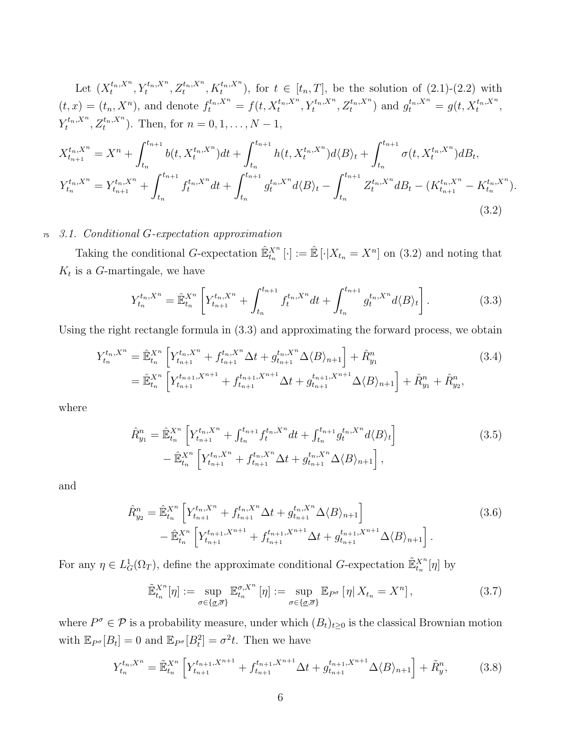Let 
$$
(X_t^{t_n, X^n}, Y_t^{t_n, X^n}, Z_t^{t_n, X^n}, K_t^{t_n, X^n})
$$
, for  $t \in [t_n, T]$ , be the solution of (2.1)-(2.2) with  
\n $(t, x) = (t_n, X^n)$ , and denote  $f_t^{t_n, X^n} = f(t, X_t^{t_n, X^n}, Y_t^{t_n, X^n}, Z_t^{t_n, X^n})$  and  $g_t^{t_n, X^n} = g(t, X_t^{t_n, X^n}, Y_t^{t_n, X^n})$ . Then, for  $n = 0, 1, ..., N - 1$ ,  
\n $X_{t_{n+1}}^{t_n, X^n} = X^n + \int_{t_n}^{t_{n+1}} b(t, X_t^{t_n, X^n}) dt + \int_{t_n}^{t_{n+1}} h(t, X_t^{t_n, X^n}) d\langle B \rangle_t + \int_{t_n}^{t_{n+1}} \sigma(t, X_t^{t_n, X^n}) dB_t$ ,  
\n $Y_{t_n}^{t_n, X^n} = Y_{t_{n+1}}^{t_n, X^n} + \int_{t_n}^{t_{n+1}} f_t^{t_n, X^n} dt + \int_{t_n}^{t_{n+1}} g_t^{t_n, X^n} d\langle B \rangle_t - \int_{t_n}^{t_{n+1}} Z_t^{t_n, X^n} dB_t - (K_{t_{n+1}}^{t_n, X^n} - K_{t_n}^{t_n, X^n})$ .  
\n(3.2)

# <sup>75</sup> 3.1. Conditional G-expectation approximation

Taking the conditional G-expectation  $\mathbb{E}_{t_n}^{X^n}[\cdot] := \mathbb{E}[\cdot | X_{t_n} = X^n]$  on (3.2) and noting that  $K_t$  is a G-martingale, we have

$$
Y_{t_n}^{t_n, X^n} = \hat{\mathbb{E}}_{t_n}^{X^n} \left[ Y_{t_{n+1}}^{t_n, X^n} + \int_{t_n}^{t_{n+1}} f_t^{t_n, X^n} dt + \int_{t_n}^{t_{n+1}} g_t^{t_n, X^n} d\langle B \rangle_t \right]. \tag{3.3}
$$

Using the right rectangle formula in (3.3) and approximating the forward process, we obtain

$$
Y_{t_n}^{t_n, X^n} = \hat{\mathbb{E}}_{t_n}^{X^n} \left[ Y_{t_{n+1}}^{t_n, X^n} + f_{t_{n+1}}^{t_n, X^n} \Delta t + g_{t_{n+1}}^{t_n, X^n} \Delta \langle B \rangle_{n+1} \right] + \hat{R}_{y_1}^n
$$
\n
$$
= \hat{\mathbb{E}}_{t_n}^{X^n} \left[ Y_{t_{n+1}}^{t_{n+1}, X^{n+1}} + f_{t_{n+1}}^{t_{n+1}, X^{n+1}} \Delta t + g_{t_{n+1}}^{t_{n+1}, X^{n+1}} \Delta \langle B \rangle_{n+1} \right] + \hat{R}_{y_1}^n + \hat{R}_{y_2}^n,
$$
\n(3.4)

where

$$
\hat{R}_{y_1}^n = \hat{\mathbb{E}}_{t_n}^{X^n} \left[ Y_{t_{n+1}}^{t_n, X^n} + \int_{t_n}^{t_{n+1}} f_t^{t_n, X^n} dt + \int_{t_n}^{t_{n+1}} g_t^{t_n, X^n} d\langle B \rangle_t \right] \n- \hat{\mathbb{E}}_{t_n}^{X^n} \left[ Y_{t_{n+1}}^{t_n, X^n} + f_{t_{n+1}}^{t_n, X^n} \Delta t + g_{t_{n+1}}^{t_n, X^n} \Delta \langle B \rangle_{n+1} \right],
$$
\n(3.5)

and

$$
\hat{R}_{y_2}^n = \hat{\mathbb{E}}_{t_n}^{X^n} \left[ Y_{t_{n+1}}^{t_n, X^n} + f_{t_{n+1}}^{t_n, X^n} \Delta t + g_{t_{n+1}}^{t_n, X^n} \Delta \langle B \rangle_{n+1} \right] \n- \hat{\mathbb{E}}_{t_n}^{X^n} \left[ Y_{t_{n+1}}^{t_{n+1}, X^{n+1}} + f_{t_{n+1}}^{t_{n+1}, X^{n+1}} \Delta t + g_{t_{n+1}}^{t_{n+1}, X^{n+1}} \Delta \langle B \rangle_{n+1} \right].
$$
\n(3.6)

For any  $\eta \in L^1_G(\Omega_T)$ , define the approximate conditional G-expectation  $\mathbb{E}_{t_n}^{X^n}[\eta]$  by

$$
\tilde{\mathbb{E}}_{t_n}^{X^n}[\eta] := \sup_{\sigma \in \{\underline{\sigma}, \overline{\sigma}\}} \mathbb{E}_{t_n}^{\sigma, X^n}[\eta] := \sup_{\sigma \in \{\underline{\sigma}, \overline{\sigma}\}} \mathbb{E}_{P^{\sigma}}[\eta | X_{t_n} = X^n], \tag{3.7}
$$

where  $P^{\sigma} \in \mathcal{P}$  is a probability measure, under which  $(B_t)_{t\geq 0}$  is the classical Brownian motion with  $\mathbb{E}_{P^{\sigma}}[B_t] = 0$  and  $\mathbb{E}_{P^{\sigma}}[B_t^2] = \sigma^2 t$ . Then we have

$$
Y_{t_n}^{t_n, X^n} = \tilde{\mathbb{E}}_{t_n}^{X^n} \left[ Y_{t_{n+1}}^{t_{n+1}, X^{n+1}} + f_{t_{n+1}}^{t_{n+1}, X^{n+1}} \Delta t + g_{t_{n+1}}^{t_{n+1}, X^{n+1}} \Delta \langle B \rangle_{n+1} \right] + \tilde{R}_y^n, \tag{3.8}
$$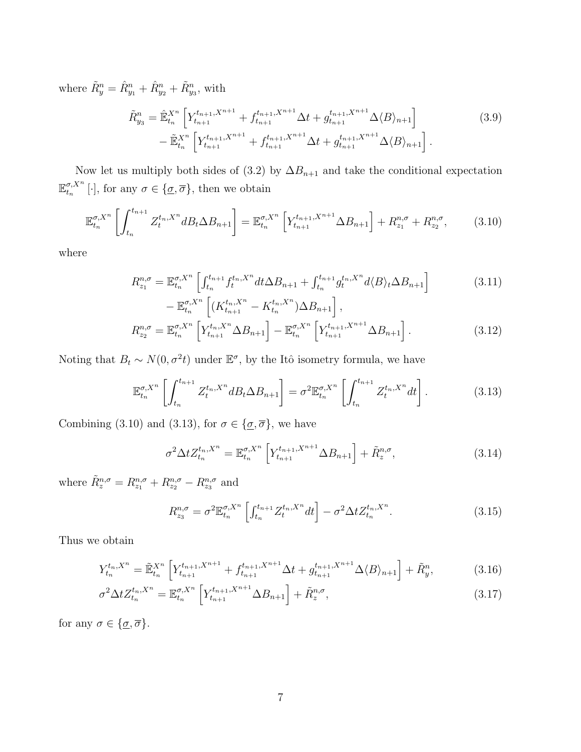where  $\tilde{R}_{y}^{n} = \hat{R}_{y_{1}}^{n} + \hat{R}_{y_{2}}^{n} + \tilde{R}_{y_{3}}^{n}$ , with

$$
\tilde{R}_{y_3}^n = \hat{\mathbb{E}}_{t_n}^{X^n} \left[ Y_{t_{n+1}}^{t_{n+1}, X^{n+1}} + f_{t_{n+1}}^{t_{n+1}, X^{n+1}} \Delta t + g_{t_{n+1}}^{t_{n+1}, X^{n+1}} \Delta \langle B \rangle_{n+1} \right] \tag{3.9}
$$
\n
$$
- \tilde{\mathbb{E}}_{t_n}^{X^n} \left[ Y_{t_{n+1}}^{t_{n+1}, X^{n+1}} + f_{t_{n+1}}^{t_{n+1}, X^{n+1}} \Delta t + g_{t_{n+1}}^{t_{n+1}, X^{n+1}} \Delta \langle B \rangle_{n+1} \right].
$$

Now let us multiply both sides of (3.2) by  $\Delta B_{n+1}$  and take the conditional expectation  $\mathbb{E}^{\sigma,X^n}$  $_{t_n}^{\sigma,X^{n}}[\cdot]$ , for any  $\sigma \in {\{\underline{\sigma}, \overline{\sigma}\}}$ , then we obtain

$$
\mathbb{E}_{t_n}^{\sigma, X^n} \left[ \int_{t_n}^{t_{n+1}} Z_t^{t_n, X^n} dB_t \Delta B_{n+1} \right] = \mathbb{E}_{t_n}^{\sigma, X^n} \left[ Y_{t_{n+1}}^{t_{n+1}, X^{n+1}} \Delta B_{n+1} \right] + R_{z_1}^{n, \sigma} + R_{z_2}^{n, \sigma}, \tag{3.10}
$$

where

$$
R_{z_1}^{n,\sigma} = \mathbb{E}_{t_n}^{\sigma,X^n} \left[ \int_{t_n}^{t_{n+1}} f_t^{t_n,X^n} dt \Delta B_{n+1} + \int_{t_n}^{t_{n+1}} g_t^{t_n,X^n} d\langle B \rangle_t \Delta B_{n+1} \right] - \mathbb{E}_{t_n}^{\sigma,X^n} \left[ (K_{t_{n+1}}^{t_n,X^n} - K_{t_n}^{t_n,X^n}) \Delta B_{n+1} \right], \tag{3.11}
$$

$$
R_{z_2}^{n, \sigma} = \mathbb{E}_{t_n}^{\sigma, X^n} \left[ Y_{t_{n+1}}^{t_{n}, X^n} \Delta B_{n+1} \right] - \mathbb{E}_{t_n}^{\sigma, X^n} \left[ Y_{t_{n+1}}^{t_{n+1}, X^{n+1}} \Delta B_{n+1} \right]. \tag{3.12}
$$

Noting that  $B_t \sim N(0, \sigma^2 t)$  under  $\mathbb{E}^{\sigma}$ , by the Itô isometry formula, we have

$$
\mathbb{E}_{t_n}^{\sigma, X^n} \left[ \int_{t_n}^{t_{n+1}} Z_t^{t_n, X^n} d B_t \Delta B_{n+1} \right] = \sigma^2 \mathbb{E}_{t_n}^{\sigma, X^n} \left[ \int_{t_n}^{t_{n+1}} Z_t^{t_n, X^n} dt \right]. \tag{3.13}
$$

Combining (3.10) and (3.13), for  $\sigma \in {\{\sigma, \overline{\sigma}\}}$ , we have

$$
\sigma^2 \Delta t Z_{t_n}^{t_n, X^n} = \mathbb{E}_{t_n}^{\sigma, X^n} \left[ Y_{t_{n+1}}^{t_{n+1}, X^{n+1}} \Delta B_{n+1} \right] + \tilde{R}_z^{n, \sigma}, \tag{3.14}
$$

where  $\tilde{R}_{z}^{n,\sigma} = R_{z_1}^{n,\sigma} + R_{z_2}^{n,\sigma} - R_{z_3}^{n,\sigma}$  and

$$
R_{z_3}^{n,\sigma} = \sigma^2 \mathbb{E}_{t_n}^{\sigma, X^n} \left[ \int_{t_n}^{t_{n+1}} Z_t^{t_n, X^n} dt \right] - \sigma^2 \Delta t Z_{t_n}^{t_n, X^n}.
$$
 (3.15)

Thus we obtain

$$
Y_{t_n}^{t_n, X^n} = \tilde{\mathbb{E}}_{t_n}^{X^n} \left[ Y_{t_{n+1}}^{t_{n+1}, X^{n+1}} + f_{t_{n+1}}^{t_{n+1}, X^{n+1}} \Delta t + g_{t_{n+1}}^{t_{n+1}, X^{n+1}} \Delta \langle B \rangle_{n+1} \right] + \tilde{R}_y^n, \tag{3.16}
$$

$$
\sigma^2 \Delta t Z_{t_n}^{t_n, X^n} = \mathbb{E}_{t_n}^{\sigma, X^n} \left[ Y_{t_{n+1}}^{t_{n+1}, X^{n+1}} \Delta B_{n+1} \right] + \tilde{R}_z^{n, \sigma}, \tag{3.17}
$$

for any  $\sigma\in\{\underline{\sigma},\overline{\sigma}\}.$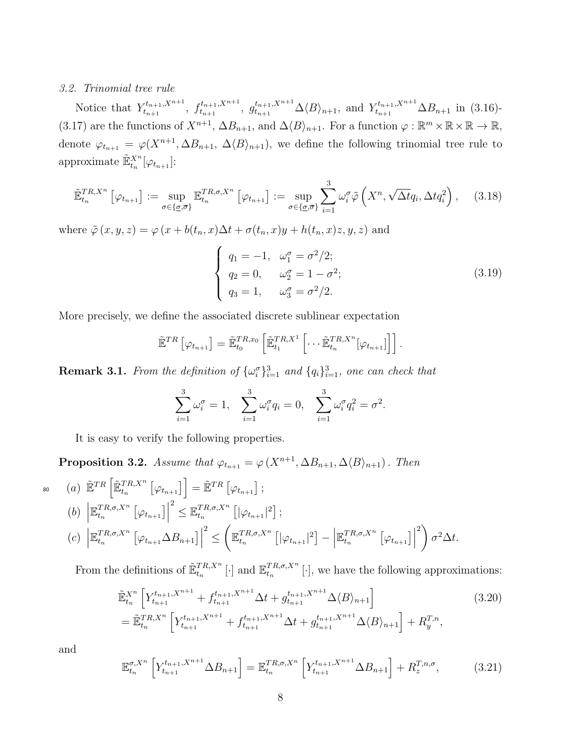# 3.2. Trinomial tree rule

Notice that  $Y_{t_{n+1}}^{t_{n+1},X^{n+1}}$ ,  $f_{t_{n+1}}^{t_{n+1},X^{n+1}}$ ,  $g_{t_{n+1}}^{t_{n+1},X^{n+1}}\Delta\langle B\rangle_{n+1}$ , and  $Y_{t_{n+1}}^{t_{n+1},X^{n+1}}\Delta B_{n+1}$  in (3.16)-(3.17) are the functions of  $X^{n+1}$ ,  $\Delta B_{n+1}$ , and  $\Delta \langle B \rangle_{n+1}$ . For a function  $\varphi : \mathbb{R}^m \times \mathbb{R} \times \mathbb{R} \to \mathbb{R}$ , denote  $\varphi_{t_{n+1}} = \varphi(X^{n+1}, \Delta B_{n+1}, \Delta \langle B \rangle_{n+1})$ , we define the following trinomial tree rule to approximate  $\tilde{\mathbb{E}}_{t_n}^{X^n}[\varphi_{t_{n+1}}]$ :

$$
\tilde{\mathbb{E}}_{t_n}^{TR,X^n} \left[ \varphi_{t_{n+1}} \right] := \sup_{\sigma \in \{ \underline{\sigma}, \overline{\sigma} \}} \mathbb{E}_{t_n}^{TR, \sigma, X^n} \left[ \varphi_{t_{n+1}} \right] := \sup_{\sigma \in \{ \underline{\sigma}, \overline{\sigma} \}} \sum_{i=1}^3 \omega_i^{\sigma} \tilde{\varphi} \left( X^n, \sqrt{\Delta t} q_i, \Delta t q_i^2 \right), \quad (3.18)
$$

where  $\tilde{\varphi}(x, y, z) = \varphi(x + b(t_n, x)\Delta t + \sigma(t_n, x)y + h(t_n, x)z, y, z)$  and

$$
\begin{cases}\n q_1 = -1, & \omega_1^{\sigma} = \sigma^2/2; \\
 q_2 = 0, & \omega_2^{\sigma} = 1 - \sigma^2; \\
 q_3 = 1, & \omega_3^{\sigma} = \sigma^2/2.\n\end{cases}
$$
\n(3.19)

More precisely, we define the associated discrete sublinear expectation

$$
\tilde{\mathbb{E}}^{TR}\left[\varphi_{t_{n+1}}\right] = \tilde{\mathbb{E}}_{t_0}^{TR,x_0}\left[\tilde{\mathbb{E}}_{t_1}^{TR,X^1}\left[\cdots\tilde{\mathbb{E}}_{t_n}^{TR,X^n}[\varphi_{t_{n+1}}]\right]\right].
$$

**Remark 3.1.** From the definition of  $\{\omega_i^{\sigma}\}_{i=1}^3$  and  $\{q_i\}_{i=1}^3$ , one can check that

$$
\sum_{i=1}^{3} \omega_i^{\sigma} = 1, \quad \sum_{i=1}^{3} \omega_i^{\sigma} q_i = 0, \quad \sum_{i=1}^{3} \omega_i^{\sigma} q_i^2 = \sigma^2.
$$

It is easy to verify the following properties.

**Proposition 3.2.** Assume that  $\varphi_{t_{n+1}} = \varphi(X^{n+1}, \Delta B_{n+1}, \Delta \langle B \rangle_{n+1})$ . Then

$$
\begin{aligned}\n\text{so} \quad & (a) \ \tilde{\mathbb{E}}^{TR} \left[ \tilde{\mathbb{E}}_{t_n}^{TR, X^n} \left[ \varphi_{t_{n+1}} \right] \right] = \tilde{\mathbb{E}}^{TR} \left[ \varphi_{t_{n+1}} \right]; \\
& (b) \ \left| \mathbb{E}_{t_n}^{TR, \sigma, X^n} \left[ \varphi_{t_{n+1}} \right] \right|^2 \leq \mathbb{E}_{t_n}^{TR, \sigma, X^n} \left[ |\varphi_{t_{n+1}}|^2 \right]; \\
& (c) \ \left| \mathbb{E}_{t_n}^{TR, \sigma, X^n} \left[ \varphi_{t_{n+1}} \Delta B_{n+1} \right] \right|^2 \leq \left( \mathbb{E}_{t_n}^{TR, \sigma, X^n} \left[ |\varphi_{t_{n+1}}|^2 \right] - \left| \mathbb{E}_{t_n}^{TR, \sigma, X^n} \left[ \varphi_{t_{n+1}} \right] \right|^2 \right) \sigma^2 \Delta t.\n\end{aligned}
$$

From the definitions of  $\mathbb{\tilde{E}}_{t_n}^{TR,X^n}$  [·] and  $\mathbb{E}_{t_n}^{TR,\sigma,X^n}$  $T_{t_n}^{T_{R,\sigma,X}}$ <sup>T<sub>h</sub>, we have the following approximations:</sup>

$$
\tilde{\mathbb{E}}_{t_n}^{X^n} \left[ Y_{t_{n+1}}^{t_{n+1}, X^{n+1}} + f_{t_{n+1}}^{t_{n+1}, X^{n+1}} \Delta t + g_{t_{n+1}}^{t_{n+1}, X^{n+1}} \Delta \langle B \rangle_{n+1} \right] \n= \tilde{\mathbb{E}}_{t_n}^{TR, X^n} \left[ Y_{t_{n+1}}^{t_{n+1}, X^{n+1}} + f_{t_{n+1}}^{t_{n+1}, X^{n+1}} \Delta t + g_{t_{n+1}}^{t_{n+1}, X^{n+1}} \Delta \langle B \rangle_{n+1} \right] + R_y^{T, n},
$$
\n(3.20)

and

$$
\mathbb{E}_{t_n}^{\sigma, X^n} \left[ Y_{t_{n+1}}^{t_{n+1}, X^{n+1}} \Delta B_{n+1} \right] = \mathbb{E}_{t_n}^{TR, \sigma, X^n} \left[ Y_{t_{n+1}}^{t_{n+1}, X^{n+1}} \Delta B_{n+1} \right] + R_z^{T, n, \sigma}, \tag{3.21}
$$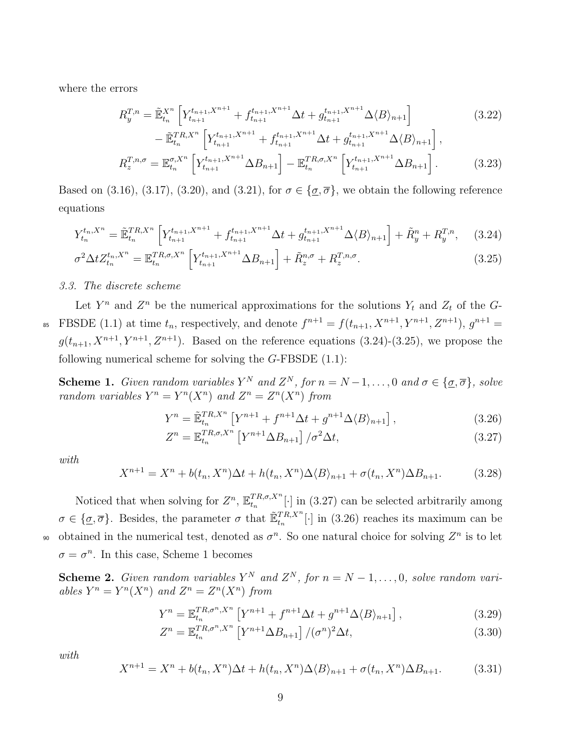where the errors

$$
R_y^{T,n} = \tilde{\mathbb{E}}_{t_n}^{X^n} \left[ Y_{t_{n+1}}^{t_{n+1}, X^{n+1}} + f_{t_{n+1}}^{t_{n+1}, X^{n+1}} \Delta t + g_{t_{n+1}}^{t_{n+1}, X^{n+1}} \Delta \langle B \rangle_{n+1} \right] \tag{3.22}
$$

$$
- \tilde{\mathbb{E}}_{t_n}^{T R X^n} \left[ Y_{t_{n+1}}^{t_{n+1}, X^{n+1}} + f_{t_{n+1}}^{t_{n+1}, X^{n+1}} \Delta t + g_{t_{n+1}}^{t_{n+1}, X^{n+1}} \Delta \langle B \rangle_{n+1} \right],
$$

$$
R_{z}^{T,n,\sigma} = \mathbb{E}_{t_n}^{\sigma,X^n} \left[ Y_{t_{n+1}}^{t_{n+1},X^{n+1}} \Delta B_{n+1} \right] - \mathbb{E}_{t_n}^{TR,\sigma,X^n} \left[ Y_{t_{n+1}}^{t_{n+1},X^{n+1}} \Delta B_{n+1} \right]. \tag{3.23}
$$

Based on (3.16), (3.17), (3.20), and (3.21), for  $\sigma \in {\sigma, \overline{\sigma}}$ , we obtain the following reference equations

$$
Y_{t_n}^{t_n, X^n} = \tilde{\mathbb{E}}_{t_n}^{TR, X^n} \left[ Y_{t_{n+1}}^{t_{n+1}, X^{n+1}} + f_{t_{n+1}}^{t_{n+1}, X^{n+1}} \Delta t + g_{t_{n+1}}^{t_{n+1}, X^{n+1}} \Delta \langle B \rangle_{n+1} \right] + \tilde{R}_y^n + R_y^{T, n}, \tag{3.24}
$$

$$
\sigma^2 \Delta t Z_{t_n}^{t_n, X^n} = \mathbb{E}_{t_n}^{TR, \sigma, X^n} \left[ Y_{t_{n+1}}^{t_{n+1}, X^{n+1}} \Delta B_{n+1} \right] + \tilde{R}_z^{n, \sigma} + R_z^{T, n, \sigma}.
$$
\n(3.25)

#### 3.3. The discrete scheme

Let  $Y^n$  and  $Z^n$  be the numerical approximations for the solutions  $Y_t$  and  $Z_t$  of the G-<sup>85</sup> FBSDE (1.1) at time  $t_n$ , respectively, and denote  $f^{n+1} = f(t_{n+1}, X^{n+1}, Y^{n+1}, Z^{n+1})$ ,  $g^{n+1} = f(t_n, Y^{n+1})$  $g(t_{n+1}, X^{n+1}, Y^{n+1}, Z^{n+1})$ . Based on the reference equations (3.24)-(3.25), we propose the following numerical scheme for solving the  $G$ -FBSDE  $(1.1)$ :

**Scheme 1.** Given random variables  $Y^N$  and  $Z^N$ , for  $n = N-1, \ldots, 0$  and  $\sigma \in {\sigma, \overline{\sigma}}$ , solve random variables  $Y^n = Y^n(X^n)$  and  $Z^n = Z^n(X^n)$  from

$$
Y^{n} = \tilde{\mathbb{E}}_{t_{n}}^{TR,X^{n}} \left[ Y^{n+1} + f^{n+1} \Delta t + g^{n+1} \Delta \langle B \rangle_{n+1} \right],
$$
\n(3.26)

$$
Z^{n} = \mathbb{E}_{t_n}^{TR,\sigma,X^{n}} \left[ Y^{n+1} \Delta B_{n+1} \right] / \sigma^2 \Delta t, \qquad (3.27)
$$

with

$$
X^{n+1} = X^n + b(t_n, X^n) \Delta t + h(t_n, X^n) \Delta \langle B \rangle_{n+1} + \sigma(t_n, X^n) \Delta B_{n+1}.
$$
 (3.28)

Noticed that when solving for  $Z^n$ ,  $\mathbb{E}_{t_n}^{TR,\sigma,X^n}$  $\int_{t_n}^{T_{R,\sigma,X}} [\cdot]$  in (3.27) can be selected arbitrarily among  $\sigma \in {\{\underline{\sigma}, \overline{\sigma}\}}$ . Besides, the parameter  $\sigma$  that  $\mathbb{E}_{t_n}^{TR, X^n}[\cdot]$  in (3.26) reaches its maximum can be so obtained in the numerical test, denoted as  $\sigma^n$ . So one natural choice for solving  $Z^n$  is to let  $\sigma = \sigma^n$ . In this case, Scheme 1 becomes

**Scheme 2.** Given random variables  $Y^N$  and  $Z^N$ , for  $n = N - 1, \ldots, 0$ , solve random variables  $Y^n = Y^n(X^n)$  and  $Z^n = Z^n(X^n)$  from

$$
Y^{n} = \mathbb{E}_{t_{n}}^{TR, \sigma^{n}, X^{n}} \left[ Y^{n+1} + f^{n+1} \Delta t + g^{n+1} \Delta \langle B \rangle_{n+1} \right],
$$
\n(3.29)

$$
Z^{n} = \mathbb{E}_{t_n}^{TR,\sigma^n,X^n} \left[ Y^{n+1} \Delta B_{n+1} \right] / (\sigma^n)^2 \Delta t, \tag{3.30}
$$

with

$$
X^{n+1} = X^n + b(t_n, X^n) \Delta t + h(t_n, X^n) \Delta \langle B \rangle_{n+1} + \sigma(t_n, X^n) \Delta B_{n+1}.
$$
 (3.31)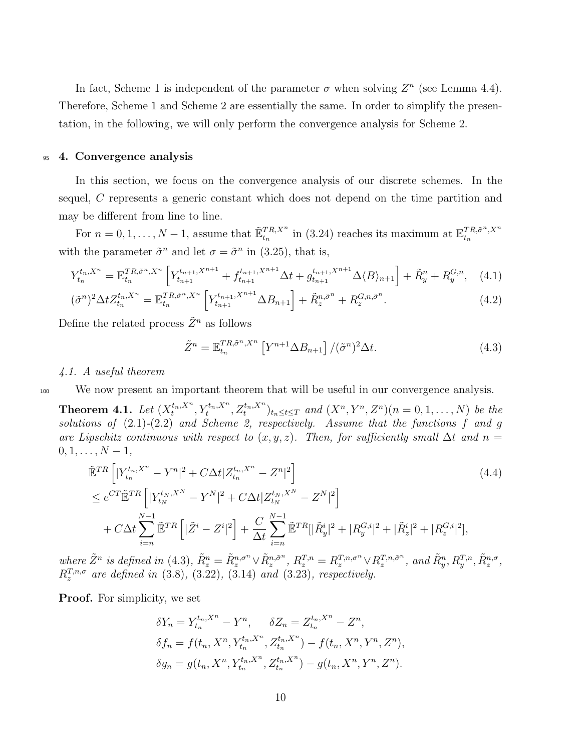In fact, Scheme 1 is independent of the parameter  $\sigma$  when solving  $Z^n$  (see Lemma 4.4). Therefore, Scheme 1 and Scheme 2 are essentially the same. In order to simplify the presentation, in the following, we will only perform the convergence analysis for Scheme 2.

# <sup>95</sup> 4. Convergence analysis

In this section, we focus on the convergence analysis of our discrete schemes. In the sequel, C represents a generic constant which does not depend on the time partition and may be different from line to line.

For  $n = 0, 1, ..., N - 1$ , assume that  $\tilde{\mathbb{E}}_{t_n}^{TR, X^n}$  in (3.24) reaches its maximum at  $\mathbb{E}_{t_n}^{TR, \tilde{\sigma}^n, X^n}$  $t_n$ with the parameter  $\tilde{\sigma}^n$  and let  $\sigma = \tilde{\sigma}^n$  in (3.25), that is,

$$
Y_{t_n}^{t_n, X^n} = \mathbb{E}_{t_n}^{TR, \tilde{\sigma}^n, X^n} \left[ Y_{t_{n+1}}^{t_{n+1}, X^{n+1}} + f_{t_{n+1}}^{t_{n+1}, X^{n+1}} \Delta t + g_{t_{n+1}}^{t_{n+1}, X^{n+1}} \Delta \langle B \rangle_{n+1} \right] + \tilde{R}_y^n + R_y^{G, n}, \quad (4.1)
$$

$$
(\tilde{\sigma}^n)^2 \Delta t Z_{t_n}^{t_n, X^n} = \mathbb{E}_{t_n}^{TR, \tilde{\sigma}^n, X^n} \left[ Y_{t_{n+1}}^{t_{n+1}, X^{n+1}} \Delta B_{n+1} \right] + \tilde{R}_z^{n, \tilde{\sigma}^n} + R_z^{G, n, \tilde{\sigma}^n}.
$$
 (4.2)

Define the related process  $\tilde{Z}^n$  as follows

$$
\tilde{Z}^n = \mathbb{E}_{t_n}^{TR, \tilde{\sigma}^n, X^n} \left[ Y^{n+1} \Delta B_{n+1} \right] / (\tilde{\sigma}^n)^2 \Delta t. \tag{4.3}
$$

# 4.1. A useful theorem

<sup>100</sup> We now present an important theorem that will be useful in our convergence analysis.

**Theorem 4.1.** Let  $(X_t^{t_n, X^n}, Y_t^{t_n, X^n}, Z_t^{t_n, X^n})_{t_n \le t \le T}$  and  $(X^n, Y^n, Z^n)(n = 0, 1, ..., N)$  be the solutions of  $(2.1)-(2.2)$  and Scheme 2, respectively. Assume that the functions f and g are Lipschitz continuous with respect to  $(x, y, z)$ . Then, for sufficiently small  $\Delta t$  and  $n =$  $0, 1, \ldots, N-1,$ 

$$
\tilde{\mathbb{E}}^{TR} \left[ |Y_{t_n}^{t_n, X^n} - Y^n|^2 + C\Delta t | Z_{t_n}^{t_n, X^n} - Z^n|^2 \right]
$$
\n
$$
\leq e^{CT} \tilde{\mathbb{E}}^{TR} \left[ |Y_{t_N}^{t_N, X^n} - Y^N|^2 + C\Delta t | Z_{t_N}^{t_N, X^n} - Z^N|^2 \right]
$$
\n
$$
+ C\Delta t \sum_{i=n}^{N-1} \tilde{\mathbb{E}}^{TR} \left[ |\tilde{Z}^i - Z^i|^2 \right] + \frac{C}{\Delta t} \sum_{i=n}^{N-1} \tilde{\mathbb{E}}^{TR} [|\tilde{R}_y^i|^2 + |R_y^{G,i}|^2 + |\tilde{R}_z^i|^2 + |R_z^{G,i}|^2],
$$
\n(4.4)

where  $\tilde{Z}^n$  is defined in (4.3),  $\tilde{R}_z^n = \tilde{R}_z^{n,\sigma^n} \vee \tilde{R}_z^{n,\tilde{\sigma}^n}$  $R_z^{n,\tilde{\sigma}^n}, R_z^{T,n} = R_z^{T,n,\sigma^n} \vee R_z^{T,n,\tilde{\sigma}^n}$  $T_{z}^{n,\tilde{\sigma}^{n}}, \text{ and } \tilde{R}_{y}^{n}, R_{y}^{T,n}, \tilde{R}_{z}^{n,\sigma},$  $R_z^{T,n,\sigma}$  are defined in (3.8), (3.22), (3.14) and (3.23), respectively.

Proof. For simplicity, we set

$$
\delta Y_n = Y_{t_n}^{t_n, X^n} - Y^n, \quad \delta Z_n = Z_{t_n}^{t_n, X^n} - Z^n,
$$
  
\n
$$
\delta f_n = f(t_n, X^n, Y_{t_n}^{t_n, X^n}, Z_{t_n}^{t_n, X^n}) - f(t_n, X^n, Y^n, Z^n),
$$
  
\n
$$
\delta g_n = g(t_n, X^n, Y_{t_n}^{t_n, X^n}, Z_{t_n}^{t_n, X^n}) - g(t_n, X^n, Y^n, Z^n).
$$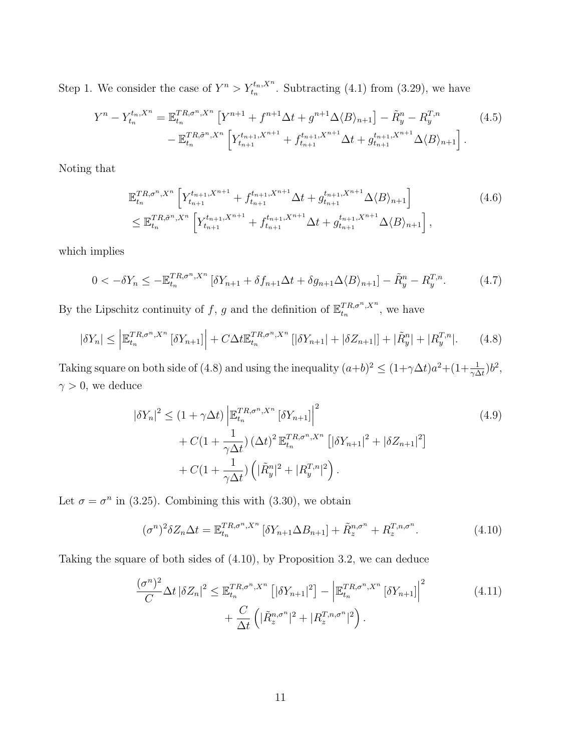Step 1. We consider the case of  $Y^n > Y^{t_n, X^n}_{t_n}$ . Subtracting (4.1) from (3.29), we have

$$
Y^{n} - Y_{t_{n}}^{t_{n}, X^{n}} = \mathbb{E}_{t_{n}}^{TR, \sigma^{n}, X^{n}} \left[ Y^{n+1} + f^{n+1} \Delta t + g^{n+1} \Delta \langle B \rangle_{n+1} \right] - \tilde{R}_{y}^{n} - R_{y}^{T, n}
$$
\n
$$
- \mathbb{E}_{t_{n}}^{TR, \tilde{\sigma}^{n}, X^{n}} \left[ Y_{t_{n+1}}^{t_{n+1}, X^{n+1}} + f_{t_{n+1}}^{t_{n+1}, X^{n+1}} \Delta t + g_{t_{n+1}}^{t_{n+1}, X^{n+1}} \Delta \langle B \rangle_{n+1} \right]. \tag{4.5}
$$

Noting that

$$
\mathbb{E}_{t_n}^{TR,\sigma^n,X^n} \left[ Y_{t_{n+1}}^{t_{n+1},X^{n+1}} + f_{t_{n+1}}^{t_{n+1},X^{n+1}} \Delta t + g_{t_{n+1}}^{t_{n+1},X^{n+1}} \Delta \langle B \rangle_{n+1} \right] \tag{4.6}
$$
\n
$$
\leq \mathbb{E}_{t_n}^{TR,\tilde{\sigma}^n,X^n} \left[ Y_{t_{n+1}}^{t_{n+1},X^{n+1}} + f_{t_{n+1}}^{t_{n+1},X^{n+1}} \Delta t + g_{t_{n+1}}^{t_{n+1},X^{n+1}} \Delta \langle B \rangle_{n+1} \right],
$$

which implies

$$
0 < -\delta Y_n \le -\mathbb{E}_{t_n}^{TR, \sigma^n, X^n} \left[ \delta Y_{n+1} + \delta f_{n+1} \Delta t + \delta g_{n+1} \Delta \langle B \rangle_{n+1} \right] - \tilde{R}_y^n - R_y^{T, n}.
$$
 (4.7)

By the Lipschitz continuity of f, g and the definition of  $\mathbb{E}_{t_n}^{TR,\sigma^n,X^n}$  $t_n^{TR,\sigma^n, X^n}$ , we have

$$
|\delta Y_n| \le \left| \mathbb{E}_{t_n}^{TR, \sigma^n, X^n} \left[ \delta Y_{n+1} \right] \right| + C \Delta t \mathbb{E}_{t_n}^{TR, \sigma^n, X^n} \left[ |\delta Y_{n+1}| + |\delta Z_{n+1}| \right] + |\tilde{R}_y^n| + |R_y^{T, n}|. \tag{4.8}
$$

Taking square on both side of (4.8) and using the inequality  $(a+b)^2 \leq (1+\gamma\Delta t)a^2+(1+\frac{1}{\gamma\Delta t})b^2$ ,  $\gamma > 0$ , we deduce

$$
|\delta Y_n|^2 \le (1 + \gamma \Delta t) \left| \mathbb{E}_{t_n}^{TR, \sigma^n, X^n} \left[ \delta Y_{n+1} \right] \right|^2
$$
  
+  $C(1 + \frac{1}{\gamma \Delta t}) (\Delta t)^2 \mathbb{E}_{t_n}^{TR, \sigma^n, X^n} \left[ |\delta Y_{n+1}|^2 + |\delta Z_{n+1}|^2 \right]$   
+  $C(1 + \frac{1}{\gamma \Delta t}) \left( |\tilde{R}_y^n|^2 + |R_y^{T,n}|^2 \right).$  (4.9)

Let  $\sigma = \sigma^n$  in (3.25). Combining this with (3.30), we obtain

$$
(\sigma^n)^2 \delta Z_n \Delta t = \mathbb{E}_{t_n}^{TR, \sigma^n, X^n} \left[ \delta Y_{n+1} \Delta B_{n+1} \right] + \tilde{R}_z^{n, \sigma^n} + R_z^{T, n, \sigma^n}.
$$
\n
$$
(4.10)
$$

Taking the square of both sides of (4.10), by Proposition 3.2, we can deduce

$$
\frac{(\sigma^n)^2}{C} \Delta t \left| \delta Z_n \right|^2 \le \mathbb{E}_{t_n}^{TR, \sigma^n, X^n} \left[ |\delta Y_{n+1}|^2 \right] - \left| \mathbb{E}_{t_n}^{TR, \sigma^n, X^n} \left[ \delta Y_{n+1} \right] \right|^2
$$
\n
$$
+ \frac{C}{\Delta t} \left( |\tilde{R}_z^{n, \sigma^n}|^2 + |R_z^{T, n, \sigma^n}|^2 \right).
$$
\n(4.11)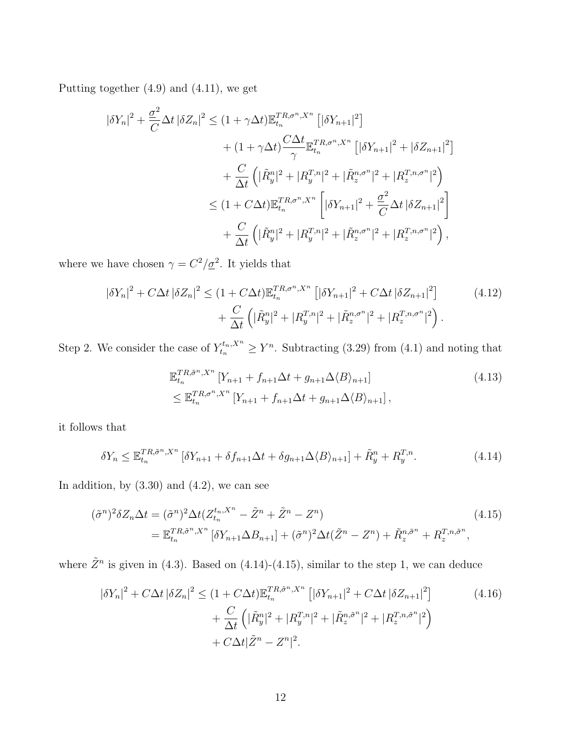Putting together (4.9) and (4.11), we get

$$
|\delta Y_{n}|^{2} + \frac{\sigma^{2}}{C} \Delta t | \delta Z_{n}|^{2} \leq (1 + \gamma \Delta t) \mathbb{E}_{t_{n}}^{TR, \sigma^{n}, X^{n}} \left[ |\delta Y_{n+1}|^{2} \right] + (1 + \gamma \Delta t) \frac{C \Delta t}{\gamma} \mathbb{E}_{t_{n}}^{TR, \sigma^{n}, X^{n}} \left[ |\delta Y_{n+1}|^{2} + |\delta Z_{n+1}|^{2} \right] + \frac{C}{\Delta t} \left( |\tilde{R}_{y}^{n}|^{2} + |R_{y}^{T, n}|^{2} + |\tilde{R}_{z}^{n, \sigma^{n}}|^{2} + |R_{z}^{T, n, \sigma^{n}}|^{2} \right) \leq (1 + C \Delta t) \mathbb{E}_{t_{n}}^{TR, \sigma^{n}, X^{n}} \left[ |\delta Y_{n+1}|^{2} + \frac{\sigma^{2}}{C} \Delta t | \delta Z_{n+1}|^{2} \right] + \frac{C}{\Delta t} \left( |\tilde{R}_{y}^{n}|^{2} + |R_{y}^{T, n}|^{2} + |\tilde{R}_{z}^{n, \sigma^{n}}|^{2} + |R_{z}^{T, n, \sigma^{n}}|^{2} \right),
$$

where we have chosen  $\gamma = C^2/\underline{\sigma}^2$ . It yields that

$$
|\delta Y_n|^2 + C\Delta t \left|\delta Z_n\right|^2 \le (1 + C\Delta t) \mathbb{E}_{t_n}^{TR, \sigma^n, X^n} \left[|\delta Y_{n+1}|^2 + C\Delta t \left|\delta Z_{n+1}\right|^2\right] + \frac{C}{\Delta t} \left(|\tilde{R}_y^n|^2 + |R_y^{T,n}|^2 + |\tilde{R}_z^{n, \sigma^n}|^2 + |R_z^{T,n, \sigma^n}|^2\right).
$$
\n(4.12)

Step 2. We consider the case of  $Y_{t_n}^{t_n,X^n} \geq Y^n$ . Subtracting (3.29) from (4.1) and noting that

$$
\mathbb{E}_{t_n}^{TR, \tilde{\sigma}^n, X^n} \left[ Y_{n+1} + f_{n+1} \Delta t + g_{n+1} \Delta \langle B \rangle_{n+1} \right]
$$
\n
$$
\leq \mathbb{E}_{t_n}^{TR, \sigma^n, X^n} \left[ Y_{n+1} + f_{n+1} \Delta t + g_{n+1} \Delta \langle B \rangle_{n+1} \right],
$$
\n(4.13)

it follows that

$$
\delta Y_n \le \mathbb{E}_{t_n}^{TR, \tilde{\sigma}^n, X^n} \left[ \delta Y_{n+1} + \delta f_{n+1} \Delta t + \delta g_{n+1} \Delta \langle B \rangle_{n+1} \right] + \tilde{R}_y^n + R_y^{T,n}.
$$
\n(4.14)

In addition, by  $(3.30)$  and  $(4.2)$ , we can see

$$
(\tilde{\sigma}^n)^2 \delta Z_n \Delta t = (\tilde{\sigma}^n)^2 \Delta t (Z_{t_n}^{t_n, X^n} - \tilde{Z}^n + \tilde{Z}^n - Z^n)
$$
  
= 
$$
\mathbb{E}_{t_n}^{TR, \tilde{\sigma}^n, X^n} [\delta Y_{n+1} \Delta B_{n+1}] + (\tilde{\sigma}^n)^2 \Delta t (\tilde{Z}^n - Z^n) + \tilde{R}_z^{n, \tilde{\sigma}^n} + R_z^{T, n, \tilde{\sigma}^n},
$$
\n(4.15)

where  $\tilde{Z}^n$  is given in (4.3). Based on (4.14)-(4.15), similar to the step 1, we can deduce

$$
|\delta Y_n|^2 + C\Delta t \, |\delta Z_n|^2 \le (1 + C\Delta t) \mathbb{E}_{t_n}^{TR, \tilde{\sigma}^n, X^n} \left[ |\delta Y_{n+1}|^2 + C\Delta t \, |\delta Z_{n+1}|^2 \right] \\
\quad + \frac{C}{\Delta t} \left( |\tilde{R}_y^n|^2 + |R_y^{T,n}|^2 + |\tilde{R}_z^{n, \tilde{\sigma}^n}|^2 + |R_z^{T,n, \tilde{\sigma}^n}|^2 \right) \\
\quad + C\Delta t |\tilde{Z}^n - Z^n|^2.
$$
\n(4.16)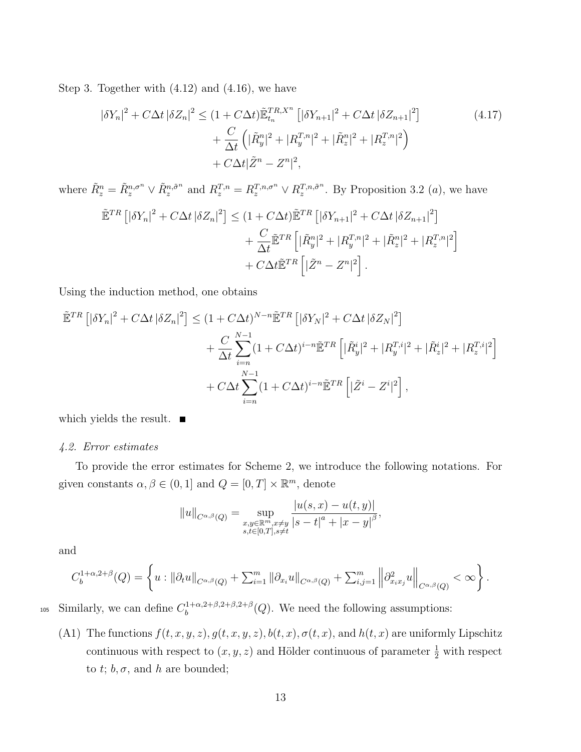Step 3. Together with  $(4.12)$  and  $(4.16)$ , we have

$$
|\delta Y_n|^2 + C\Delta t \, |\delta Z_n|^2 \le (1 + C\Delta t) \tilde{\mathbb{E}}_{t_n}^{TR, X^n} \left[ |\delta Y_{n+1}|^2 + C\Delta t \, |\delta Z_{n+1}|^2 \right] \\
\quad + \frac{C}{\Delta t} \left( |\tilde{R}_y^n|^2 + |R_y^{T, n}|^2 + |\tilde{R}_z^n|^2 + |R_z^{T, n}|^2 \right) \\
\quad + C\Delta t |\tilde{Z}^n - Z^n|^2,
$$
\n(4.17)

where  $\tilde{R}_z^n = \tilde{R}_z^{n, \sigma^n} \vee \tilde{R}_z^{n, \tilde{\sigma}^n}$  $z^{n,\tilde{\sigma}^n}$  and  $R_z^{T,n} = R_z^{T,n,\sigma^n} \vee R_z^{T,n,\tilde{\sigma}^n}$  $_{z}^{T,n,\tilde{\sigma}^{n}}$ . By Proposition 3.2 (*a*), we have

$$
\tilde{\mathbb{E}}^{TR} \left[ \left| \delta Y_n \right|^2 + C \Delta t \left| \delta Z_n \right|^2 \right] \leq \left( 1 + C \Delta t \right) \tilde{\mathbb{E}}^{TR} \left[ \left| \delta Y_{n+1} \right|^2 + C \Delta t \left| \delta Z_{n+1} \right|^2 \right] \n+ \frac{C}{\Delta t} \tilde{\mathbb{E}}^{TR} \left[ \left| \tilde{R}_y^{n} \right|^2 + \left| R_y^{T,n} \right|^2 + \left| \tilde{R}_z^{n} \right|^2 + \left| R_z^{T,n} \right|^2 \right] \n+ C \Delta t \tilde{\mathbb{E}}^{TR} \left[ \left| \tilde{Z}^n - Z^n \right|^2 \right].
$$

Using the induction method, one obtains

$$
\tilde{\mathbb{E}}^{TR} \left[ |\delta Y_n|^2 + C \Delta t \left| \delta Z_n \right|^2 \right] \leq (1 + C \Delta t)^{N-n} \tilde{\mathbb{E}}^{TR} \left[ |\delta Y_N|^2 + C \Delta t \left| \delta Z_N \right|^2 \right] \n+ \frac{C}{\Delta t} \sum_{i=n}^{N-1} (1 + C \Delta t)^{i-n} \tilde{\mathbb{E}}^{TR} \left[ |\tilde{R}_y^i|^2 + |R_y^{T,i}|^2 + |\tilde{R}_z^i|^2 + |R_z^{T,i}|^2 \right] \n+ C \Delta t \sum_{i=n}^{N-1} (1 + C \Delta t)^{i-n} \tilde{\mathbb{E}}^{TR} \left[ |\tilde{Z}^i - Z^i|^2 \right],
$$

which yields the result.  $\blacksquare$ 

# 4.2. Error estimates

To provide the error estimates for Scheme 2, we introduce the following notations. For given constants  $\alpha, \beta \in (0, 1]$  and  $Q = [0, T] \times \mathbb{R}^m$ , denote

$$
||u||_{C^{\alpha,\beta}(Q)} = \sup_{\substack{x,y \in \mathbb{R}^m, x \neq y \\ s,t \in [0,T], s \neq t}} \frac{|u(s,x) - u(t,y)|}{|s-t|^a + |x-y|^{\beta}},
$$

and

$$
C_b^{1+\alpha,2+\beta}(Q) = \left\{ u : \|\partial_t u\|_{C^{\alpha,\beta}(Q)} + \sum_{i=1}^m \|\partial_{x_i} u\|_{C^{\alpha,\beta}(Q)} + \sum_{i,j=1}^m \left\| \partial_{x_i x_j}^2 u \right\|_{C^{\alpha,\beta}(Q)} < \infty \right\}.
$$

Similarly, we can define  $C_b^{1+\alpha,2+\beta,2+\beta,2+\beta}$ <sup>105</sup> Similarly, we can define  $C_b^{1+\alpha,2+\beta,2+\beta}(Q)$ . We need the following assumptions:

(A1) The functions  $f(t, x, y, z), g(t, x, y, z), b(t, x), \sigma(t, x)$ , and  $h(t, x)$  are uniformly Lipschitz continuous with respect to  $(x, y, z)$  and Hölder continuous of parameter  $\frac{1}{2}$  with respect to t;  $b, \sigma$ , and h are bounded;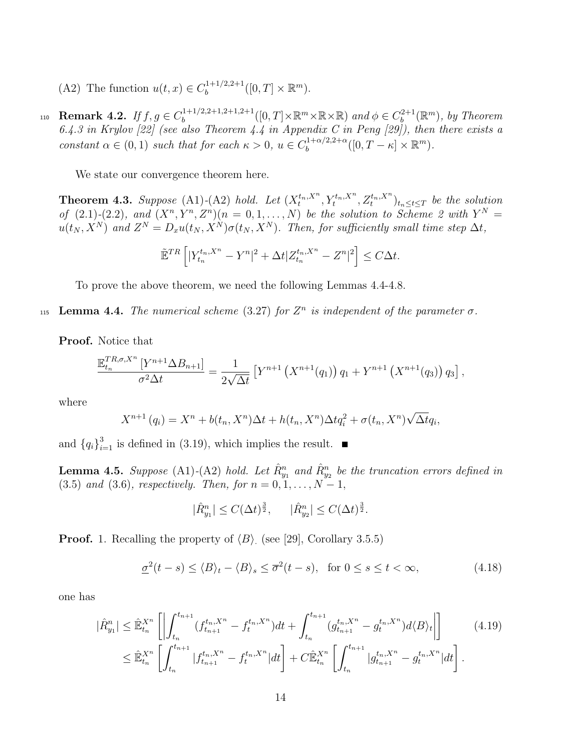- (A2) The function  $u(t, x) \in C_b^{1+1/2, 2+1}$  $b^{1+1/2,2+1}([0,T] \times \mathbb{R}^m).$
- **Remark 4.2.** If  $f, g \in C_b^{1+1/2, 2+1, 2+1, 2+1}$  $b_b^{(1+1/2,2+1,2+1,2+1)}([0,T]\times\mathbb{R}^m\times\mathbb{R}\times\mathbb{R})$  and  $\phi\in C_b^{2+1}$ 110 **Remark 4.2.** If  $f, g \in C_b^{1+1/2, 2+1, 2+1, 2+1}([0, T] \times \mathbb{R}^m \times \mathbb{R} \times \mathbb{R})$  and  $\phi \in C_b^{2+1}(\mathbb{R}^m)$ , by Theorem 6.4.3 in Krylov [22] (see also Theorem 4.4 in Appendix C in Peng [29]), then there exists a constant  $\alpha \in (0,1)$  such that for each  $\kappa > 0$ ,  $u \in C_h^{1+\alpha/2,2+\alpha}$  $b_b^{(1+\alpha/2,2+\alpha}([0,T-\kappa]\times\mathbb{R}^m)).$

We state our convergence theorem here.

**Theorem 4.3.** Suppose (A1)-(A2) hold. Let  $(X_t^{t_n,X^n}, Y_t^{t_n,X^n}, Z_t^{t_n,X^n})_{t_n \le t \le T}$  be the solution of  $(2.1)-(2.2)$ , and  $(X^n, Y^n, Z^n)(n = 0, 1, \ldots, N)$  be the solution to Scheme 2 with  $Y^N =$  $u(t_N, X^N)$  and  $Z^N = D_x u(t_N, X^N) \sigma(t_N, X^N)$ . Then, for sufficiently small time step  $\Delta t$ ,

$$
\widetilde{\mathbb{E}}^{TR}\left[|Y_{t_n}^{t_n,X^n}-Y^n|^2+\Delta t|Z_{t_n}^{t_n,X^n}-Z^n|^2\right]\leq C\Delta t.
$$

To prove the above theorem, we need the following Lemmas 4.4-4.8.

115 **Lemma 4.4.** The numerical scheme (3.27) for  $Z<sup>n</sup>$  is independent of the parameter  $\sigma$ .

Proof. Notice that

$$
\frac{\mathbb{E}_{t_n}^{TR,\sigma,X^{n}}[Y^{n+1}\Delta B_{n+1}]}{\sigma^2 \Delta t} = \frac{1}{2\sqrt{\Delta t}} \left[ Y^{n+1}\left(X^{n+1}(q_1)\right)q_1 + Y^{n+1}\left(X^{n+1}(q_3)\right)q_3 \right],
$$

where

$$
X^{n+1}(q_i) = X^n + b(t_n, X^n)\Delta t + h(t_n, X^n)\Delta t q_i^2 + \sigma(t_n, X^n)\sqrt{\Delta t}q_i,
$$

and  ${q_i}_{i=1}^3$  is defined in (3.19), which implies the result.

**Lemma 4.5.** Suppose (A1)-(A2) hold. Let  $\hat{R}_{y_1}^n$  and  $\hat{R}_{y_2}^n$  be the truncation errors defined in (3.5) and (3.6), respectively. Then, for  $n = 0, 1, ..., N - 1$ ,

$$
|\hat{R}_{y_1}^n| \le C(\Delta t)^{\frac{3}{2}}, \quad |\hat{R}_{y_2}^n| \le C(\Delta t)^{\frac{3}{2}}.
$$

**Proof.** 1. Recalling the property of  $\langle B \rangle$  (see [29], Corollary 3.5.5)

$$
\underline{\sigma}^2(t-s) \le \langle B \rangle_t - \langle B \rangle_s \le \overline{\sigma}^2(t-s), \text{ for } 0 \le s \le t < \infty,
$$
\n(4.18)

one has

$$
|\hat{R}_{y_1}^n| \leq \hat{\mathbb{E}}_{t_n}^{X^n} \left[ \left| \int_{t_n}^{t_{n+1}} (f_{t_{n+1}}^{t_n, X^n} - f_t^{t_n, X^n}) dt + \int_{t_n}^{t_{n+1}} (g_{t_{n+1}}^{t_n, X^n} - g_t^{t_n, X^n}) d\langle B \rangle_t \right| \right] \tag{4.19}
$$
  

$$
\leq \hat{\mathbb{E}}_{t_n}^{X^n} \left[ \int_{t_n}^{t_{n+1}} |f_{t_{n+1}}^{t_n, X^n} - f_t^{t_n, X^n}| dt \right] + C \hat{\mathbb{E}}_{t_n}^{X^n} \left[ \int_{t_n}^{t_{n+1}} |g_{t_{n+1}}^{t_n, X^n} - g_t^{t_n, X^n}| dt \right].
$$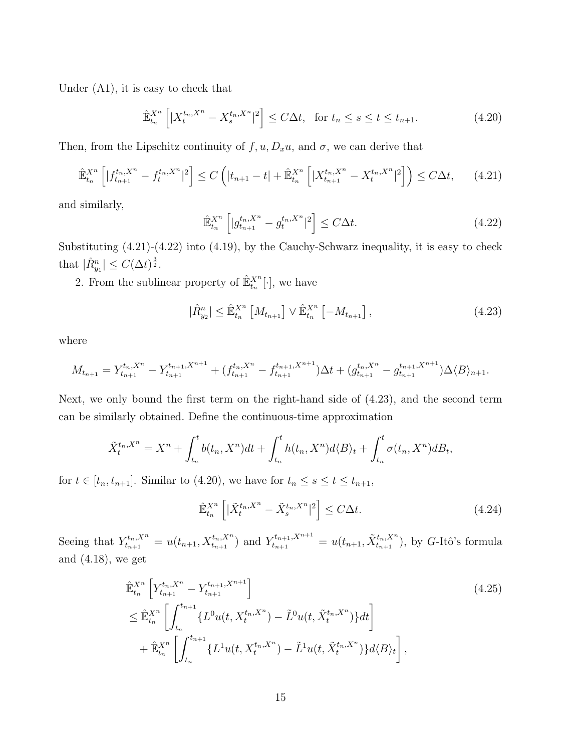Under (A1), it is easy to check that

$$
\hat{\mathbb{E}}_{t_n}^{X^n} \left[ |X_t^{t_n, X^n} - X_s^{t_n, X^n}|^2 \right] \le C \Delta t, \text{ for } t_n \le s \le t \le t_{n+1}.
$$
\n(4.20)

Then, from the Lipschitz continuity of  $f, u, D_x u$ , and  $\sigma$ , we can derive that

$$
\hat{\mathbb{E}}_{t_n}^{X^n} \left[ |f_{t_{n+1}}^{t_n, X^n} - f_t^{t_n, X^n}|^2 \right] \le C \left( |t_{n+1} - t| + \hat{\mathbb{E}}_{t_n}^{X^n} \left[ |X_{t_{n+1}}^{t_n, X^n} - X_t^{t_n, X^n}|^2 \right] \right) \le C \Delta t, \tag{4.21}
$$

and similarly,

$$
\hat{\mathbb{E}}_{t_n}^{X^n} \left[ |g_{t_{n+1}}^{t_n, X^n} - g_t^{t_n, X^n}|^2 \right] \le C \Delta t.
$$
\n(4.22)

Substituting (4.21)-(4.22) into (4.19), by the Cauchy-Schwarz inequality, it is easy to check that  $|\hat{R}_{y_1}^n| \leq C(\Delta t)^{\frac{3}{2}}$ .

2. From the sublinear property of  $\mathbb{E}_{t_n}^{X^n}[\cdot]$ , we have

$$
|\hat{R}_{y_2}^n| \le \hat{\mathbb{E}}_{t_n}^{X^n} \left[ M_{t_{n+1}} \right] \vee \hat{\mathbb{E}}_{t_n}^{X^n} \left[ -M_{t_{n+1}} \right], \tag{4.23}
$$

where

$$
M_{t_{n+1}} = Y_{t_{n+1}}^{t_n, X^n} - Y_{t_{n+1}}^{t_{n+1}, X^{n+1}} + (f_{t_{n+1}}^{t_n, X^n} - f_{t_{n+1}}^{t_{n+1}, X^{n+1}}) \Delta t + (g_{t_{n+1}}^{t_n, X^n} - g_{t_{n+1}}^{t_{n+1}, X^{n+1}}) \Delta \langle B \rangle_{n+1}.
$$

Next, we only bound the first term on the right-hand side of (4.23), and the second term can be similarly obtained. Define the continuous-time approximation

$$
\tilde{X}_t^{t_n, X^n} = X^n + \int_{t_n}^t b(t_n, X^n) dt + \int_{t_n}^t h(t_n, X^n) d\langle B \rangle_t + \int_{t_n}^t \sigma(t_n, X^n) dB_t,
$$

for  $t \in [t_n, t_{n+1}]$ . Similar to (4.20), we have for  $t_n \leq s \leq t \leq t_{n+1}$ ,

$$
\hat{\mathbb{E}}_{t_n}^{X^n} \left[ |\tilde{X}_t^{t_n, X^n} - \tilde{X}_s^{t_n, X^n}|^2 \right] \le C \Delta t. \tag{4.24}
$$

Seeing that  $Y_{t_{n+1}}^{t_n, X^n} = u(t_{n+1}, X_{t_{n+1}}^{t_n, X^n})$  and  $Y_{t_{n+1}}^{t_{n+1}, X^{n+1}} = u(t_{n+1}, \tilde{X}_{t_{n+1}}^{t_n, X^n})$ , by G-Itô's formula and (4.18), we get

$$
\tilde{\mathbb{E}}_{t_n}^{X^n} \left[ Y_{t_{n+1}}^{t_n, X^n} - Y_{t_{n+1}}^{t_{n+1}, X^{n+1}} \right] \n\leq \tilde{\mathbb{E}}_{t_n}^{X^n} \left[ \int_{t_n}^{t_{n+1}} \{ L^0 u(t, X_t^{t_n, X^n}) - \tilde{L}^0 u(t, \tilde{X}_t^{t_n, X^n}) \} dt \right] \n+ \tilde{\mathbb{E}}_{t_n}^{X^n} \left[ \int_{t_n}^{t_{n+1}} \{ L^1 u(t, X_t^{t_n, X^n}) - \tilde{L}^1 u(t, \tilde{X}_t^{t_n, X^n}) \} d\langle B \rangle_t \right],
$$
\n(4.25)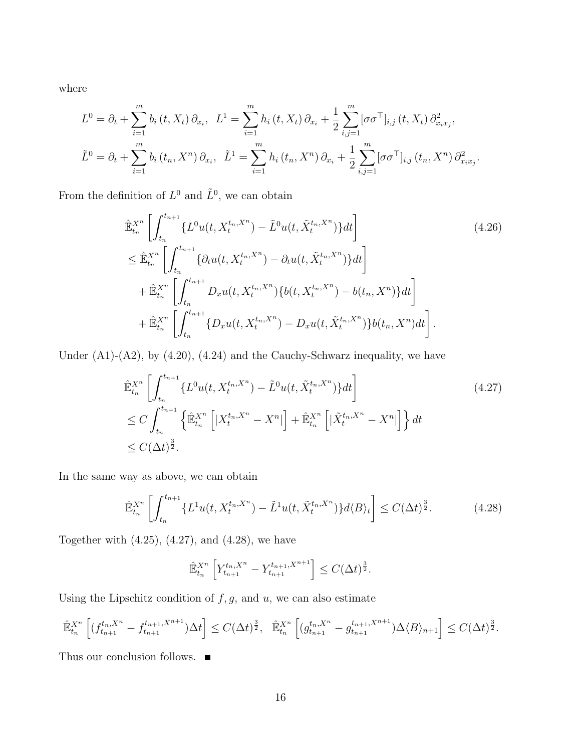where

$$
L^{0} = \partial_{t} + \sum_{i=1}^{m} b_{i} (t, X_{t}) \partial_{x_{i}}, \ L^{1} = \sum_{i=1}^{m} h_{i} (t, X_{t}) \partial_{x_{i}} + \frac{1}{2} \sum_{i,j=1}^{m} [\sigma \sigma^{T}]_{i,j} (t, X_{t}) \partial_{x_{i}x_{j}},
$$
  

$$
\tilde{L}^{0} = \partial_{t} + \sum_{i=1}^{m} b_{i} (t_{n}, X^{n}) \partial_{x_{i}}, \ \tilde{L}^{1} = \sum_{i=1}^{m} h_{i} (t_{n}, X^{n}) \partial_{x_{i}} + \frac{1}{2} \sum_{i,j=1}^{m} [\sigma \sigma^{T}]_{i,j} (t_{n}, X^{n}) \partial_{x_{i}x_{j}}^{2}.
$$

From the definition of  $L^0$  and  $\tilde{L}^0$ , we can obtain

$$
\hat{\mathbb{E}}_{t_n}^{X^n} \left[ \int_{t_n}^{t_{n+1}} \{ L^0 u(t, X_t^{t_n, X^n}) - \tilde{L}^0 u(t, \tilde{X}_t^{t_n, X^n}) \} dt \right] \tag{4.26}
$$
\n
$$
\leq \hat{\mathbb{E}}_{t_n}^{X^n} \left[ \int_{t_n}^{t_{n+1}} \{ \partial_t u(t, X_t^{t_n, X^n}) - \partial_t u(t, \tilde{X}_t^{t_n, X^n}) \} dt \right] + \hat{\mathbb{E}}_{t_n}^{X^n} \left[ \int_{t_n}^{t_{n+1}} D_x u(t, X_t^{t_n, X^n}) \{ b(t, X_t^{t_n, X^n}) - b(t_n, X^n) \} dt \right] + \hat{\mathbb{E}}_{t_n}^{X^n} \left[ \int_{t_n}^{t_{n+1}} \{ D_x u(t, X_t^{t_n, X^n}) - D_x u(t, \tilde{X}_t^{t_n, X^n}) \} b(t_n, X^n) dt \right].
$$

Under  $(A1)-(A2)$ , by  $(4.20)$ ,  $(4.24)$  and the Cauchy-Schwarz inequality, we have

$$
\hat{\mathbb{E}}_{t_n}^{X^n} \left[ \int_{t_n}^{t_{n+1}} \{ L^0 u(t, X_t^{t_n, X^n}) - \tilde{L}^0 u(t, \tilde{X}_t^{t_n, X^n}) \} dt \right] \n\leq C \int_{t_n}^{t_{n+1}} \left\{ \hat{\mathbb{E}}_{t_n}^{X^n} \left[ |X_t^{t_n, X^n} - X^n| \right] + \hat{\mathbb{E}}_{t_n}^{X^n} \left[ | \tilde{X}_t^{t_n, X^n} - X^n| \right] \right\} dt
$$
\n
$$
\leq C (\Delta t)^{\frac{3}{2}}.
$$
\n(4.27)

In the same way as above, we can obtain

$$
\hat{\mathbb{E}}_{t_n}^{X^n} \left[ \int_{t_n}^{t_{n+1}} \{ L^1 u(t, X_t^{t_n, X^n}) - \tilde{L}^1 u(t, \tilde{X}_t^{t_n, X^n}) \} d\langle B \rangle_t \right] \le C(\Delta t)^{\frac{3}{2}}.
$$
 (4.28)

Together with (4.25), (4.27), and (4.28), we have

$$
\hat{\mathbb{E}}_{t_n}^{X^n} \left[ Y_{t_{n+1}}^{t_n, X^n} - Y_{t_{n+1}}^{t_{n+1}, X^{n+1}} \right] \leq C(\Delta t)^{\frac{3}{2}}.
$$

Using the Lipschitz condition of  $f, g$ , and  $u$ , we can also estimate

$$
\hat{\mathbb{E}}_{t_n}^{X^n} \left[ (f_{t_{n+1}}^{t_n, X^n} - f_{t_{n+1}}^{t_{n+1}, X^{n+1}}) \Delta t \right] \leq C (\Delta t)^{\frac{3}{2}}, \quad \hat{\mathbb{E}}_{t_n}^{X^n} \left[ (g_{t_{n+1}}^{t_n, X^n} - g_{t_{n+1}}^{t_{n+1}, X^{n+1}}) \Delta \langle B \rangle_{n+1} \right] \leq C (\Delta t)^{\frac{3}{2}}.
$$

Thus our conclusion follows.  $\blacksquare$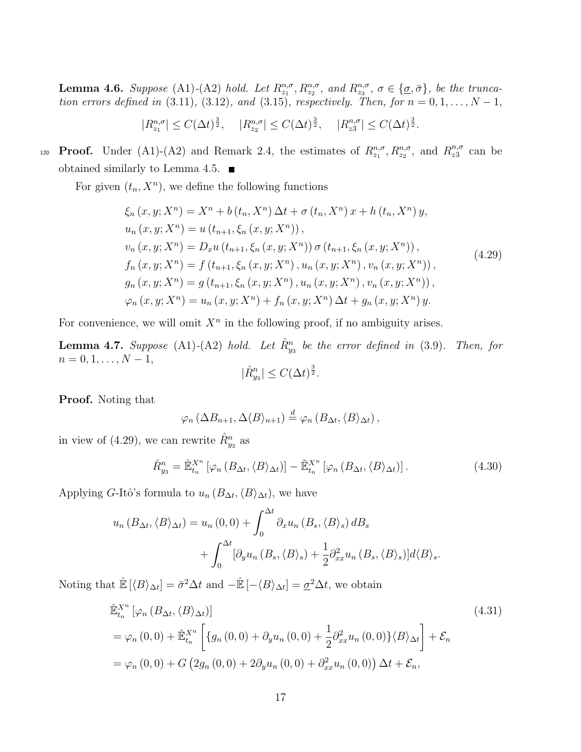**Lemma 4.6.** Suppose (A1)-(A2) hold. Let  $R_{z_1}^{n,\sigma}, R_{z_2}^{n,\sigma},$  and  $R_{z_3}^{n,\sigma}, \sigma \in {\sigma, \bar{\sigma}$ , be the truncation errors defined in (3.11), (3.12), and (3.15), respectively. Then, for  $n = 0, 1, ..., N - 1$ ,

$$
|R_{z_1}^{n,\sigma}| \le C(\Delta t)^{\frac{3}{2}}, \quad |R_{z_2}^{n,\sigma}| \le C(\Delta t)^{\frac{3}{2}}, \quad |R_{z_3}^{n,\sigma}| \le C(\Delta t)^{\frac{3}{2}}.
$$

**Proof.** Under (A1)-(A2) and Remark 2.4, the estimates of  $R_{z_1}^{n,\sigma}, R_{z_2}^{n,\sigma}$ , and  $R_{z_3}^{n,\sigma}$ 120 **Proof.** Under (A1)-(A2) and Remark 2.4, the estimates of  $R_{z_1}^{n,\sigma}, R_{z_2}^{n,\sigma}$ , and  $R_{z_3}^{n,\sigma}$  can be obtained similarly to Lemma 4.5.  $\blacksquare$ 

For given  $(t_n, X^n)$ , we define the following functions

$$
\xi_n(x, y; X^n) = X^n + b(t_n, X^n) \Delta t + \sigma(t_n, X^n) x + h(t_n, X^n) y,u_n(x, y; X^n) = u(t_{n+1}, \xi_n(x, y; X^n)),v_n(x, y; X^n) = D_x u(t_{n+1}, \xi_n(x, y; X^n)) \sigma(t_{n+1}, \xi_n(x, y; X^n)),f_n(x, y; X^n) = f(t_{n+1}, \xi_n(x, y; X^n), u_n(x, y; X^n), v_n(x, y; X^n)),g_n(x, y; X^n) = g(t_{n+1}, \xi_n(x, y; X^n), u_n(x, y; X^n), v_n(x, y; X^n)),\varphi_n(x, y; X^n) = u_n(x, y; X^n) + f_n(x, y; X^n) \Delta t + g_n(x, y; X^n) y.
$$
\n(4.29)

For convenience, we will omit  $X<sup>n</sup>$  in the following proof, if no ambiguity arises.

**Lemma 4.7.** Suppose (A1)-(A2) hold. Let  $\hat{R}_{y_3}^n$  be the error defined in (3.9). Then, for  $n = 0, 1, \ldots, N - 1,$  $|\hat{R}_{y_3}^n| \le C(\Delta t)^{\frac{3}{2}}.$ 

Proof. Noting that

$$
\varphi_n \left( \Delta B_{n+1}, \Delta \langle B \rangle_{n+1} \right) \stackrel{d}{=} \varphi_n \left( B_{\Delta t}, \langle B \rangle_{\Delta t} \right),
$$

in view of (4.29), we can rewrite  $\hat{R}_{y_3}^n$  as

$$
\hat{R}_{y_3}^n = \hat{\mathbb{E}}_{t_n}^{X^n} \left[ \varphi_n \left( B_{\Delta t}, \langle B \rangle_{\Delta t} \right) \right] - \tilde{\mathbb{E}}_{t_n}^{X^n} \left[ \varphi_n \left( B_{\Delta t}, \langle B \rangle_{\Delta t} \right) \right]. \tag{4.30}
$$

Applying *G*-Itô's formula to  $u_n(B_{\Delta t}, \langle B \rangle_{\Delta t})$ , we have

$$
u_n(B_{\Delta t}, \langle B \rangle_{\Delta t}) = u_n(0, 0) + \int_0^{\Delta t} \partial_x u_n(B_s, \langle B \rangle_s) dB_s
$$
  
+ 
$$
\int_0^{\Delta t} [\partial_y u_n(B_s, \langle B \rangle_s) + \frac{1}{2} \partial_{xx}^2 u_n(B_s, \langle B \rangle_s)] d\langle B \rangle_s.
$$

Noting that  $\mathbb{E} [\langle B \rangle_{\Delta t}] = \bar{\sigma}^2 \Delta t$  and  $-\mathbb{E} [-\langle B \rangle_{\Delta t}] = \underline{\sigma}^2 \Delta t$ , we obtain

$$
\hat{\mathbb{E}}_{t_n}^{X^n} \left[ \varphi_n \left( B_{\Delta t}, \langle B \rangle_{\Delta t} \right) \right]
$$
\n
$$
= \varphi_n \left( 0, 0 \right) + \hat{\mathbb{E}}_{t_n}^{X^n} \left[ \{ g_n \left( 0, 0 \right) + \partial_y u_n \left( 0, 0 \right) + \frac{1}{2} \partial_{xx}^2 u_n \left( 0, 0 \right) \} \langle B \rangle_{\Delta t} \right] + \mathcal{E}_n
$$
\n
$$
= \varphi_n \left( 0, 0 \right) + G \left( 2g_n \left( 0, 0 \right) + 2\partial_y u_n \left( 0, 0 \right) + \partial_{xx}^2 u_n \left( 0, 0 \right) \right) \Delta t + \mathcal{E}_n,
$$
\n(4.31)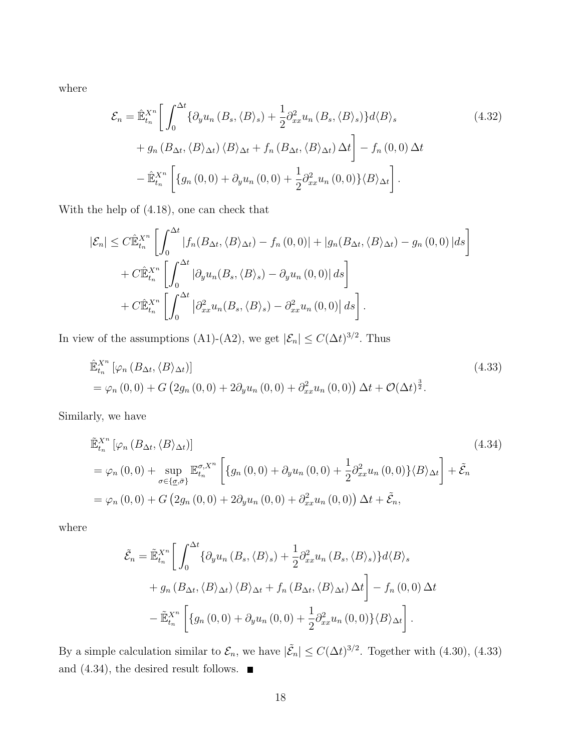where

$$
\mathcal{E}_n = \hat{\mathbb{E}}_{t_n}^{X^n} \bigg[ \int_0^{\Delta t} \{ \partial_y u_n \left( B_s, \langle B \rangle_s \right) + \frac{1}{2} \partial_{xx}^2 u_n \left( B_s, \langle B \rangle_s \right) \} d\langle B \rangle_s \qquad (4.32)
$$

$$
+ g_n \left( B_{\Delta t}, \langle B \rangle_{\Delta t} \right) \langle B \rangle_{\Delta t} + f_n \left( B_{\Delta t}, \langle B \rangle_{\Delta t} \right) \Delta t \bigg] - f_n \left( 0, 0 \right) \Delta t
$$

$$
- \hat{\mathbb{E}}_{t_n}^{X^n} \left[ \{ g_n \left( 0, 0 \right) + \partial_y u_n \left( 0, 0 \right) + \frac{1}{2} \partial_{xx}^2 u_n \left( 0, 0 \right) \} \langle B \rangle_{\Delta t} \bigg]. \qquad (4.32)
$$

With the help of (4.18), one can check that

$$
|\mathcal{E}_n| \leq C \hat{\mathbb{E}}_{t_n}^{X^n} \left[ \int_0^{\Delta t} |f_n(B_{\Delta t}, \langle B \rangle_{\Delta t}) - f_n(0, 0)| + |g_n(B_{\Delta t}, \langle B \rangle_{\Delta t}) - g_n(0, 0)| ds \right]
$$
  
+ 
$$
C \hat{\mathbb{E}}_{t_n}^{X^n} \left[ \int_0^{\Delta t} |\partial_y u_n(B_s, \langle B \rangle_s) - \partial_y u_n(0, 0)| ds \right]
$$
  
+ 
$$
C \hat{\mathbb{E}}_{t_n}^{X^n} \left[ \int_0^{\Delta t} |\partial_{xx}^2 u_n(B_s, \langle B \rangle_s) - \partial_{xx}^2 u_n(0, 0)| ds \right].
$$

In view of the assumptions (A1)-(A2), we get  $|\mathcal{E}_n| \leq C(\Delta t)^{3/2}$ . Thus

$$
\hat{\mathbb{E}}_{t_n}^{X^n} \left[ \varphi_n \left( B_{\Delta t}, \langle B \rangle_{\Delta t} \right) \right]
$$
\n
$$
= \varphi_n \left( 0, 0 \right) + G \left( 2g_n \left( 0, 0 \right) + 2 \partial_y u_n \left( 0, 0 \right) + \partial_{xx}^2 u_n \left( 0, 0 \right) \right) \Delta t + \mathcal{O}(\Delta t)^{\frac{3}{2}}.
$$
\n
$$
(4.33)
$$

Similarly, we have

$$
\tilde{\mathbb{E}}_{t_n}^{X^n} \left[ \varphi_n \left( B_{\Delta t}, \langle B \rangle_{\Delta t} \right) \right]
$$
\n
$$
= \varphi_n \left( 0, 0 \right) + \sup_{\sigma \in \{\underline{\sigma}, \overline{\sigma}\}} \mathbb{E}_{t_n}^{\sigma, X^n} \left[ \{ g_n \left( 0, 0 \right) + \partial_y u_n \left( 0, 0 \right) + \frac{1}{2} \partial_{xx}^2 u_n \left( 0, 0 \right) \} \langle B \rangle_{\Delta t} \right] + \tilde{\mathcal{E}}_n
$$
\n
$$
= \varphi_n \left( 0, 0 \right) + G \left( 2g_n \left( 0, 0 \right) + 2\partial_y u_n \left( 0, 0 \right) + \partial_{xx}^2 u_n \left( 0, 0 \right) \right) \Delta t + \tilde{\mathcal{E}}_n,
$$
\n
$$
(4.34)
$$

where

$$
\tilde{\mathcal{E}}_{n} = \tilde{\mathbb{E}}_{t_{n}}^{X^{n}} \bigg[ \int_{0}^{\Delta t} \{ \partial_{y} u_{n} \left( B_{s}, \langle B \rangle_{s} \right) + \frac{1}{2} \partial_{xx}^{2} u_{n} \left( B_{s}, \langle B \rangle_{s} \right) \} d \langle B \rangle_{s} \n+ g_{n} \left( B_{\Delta t}, \langle B \rangle_{\Delta t} \right) \langle B \rangle_{\Delta t} + f_{n} \left( B_{\Delta t}, \langle B \rangle_{\Delta t} \right) \Delta t \bigg] - f_{n} \left( 0, 0 \right) \Delta t \n- \tilde{\mathbb{E}}_{t_{n}}^{X^{n}} \bigg[ \{ g_{n} \left( 0, 0 \right) + \partial_{y} u_{n} \left( 0, 0 \right) + \frac{1}{2} \partial_{xx}^{2} u_{n} \left( 0, 0 \right) \} \langle B \rangle_{\Delta t} \bigg].
$$

By a simple calculation similar to  $\mathcal{E}_n$ , we have  $|\tilde{\mathcal{E}}_n| \leq C(\Delta t)^{3/2}$ . Together with (4.30), (4.33) and (4.34), the desired result follows.  $\blacksquare$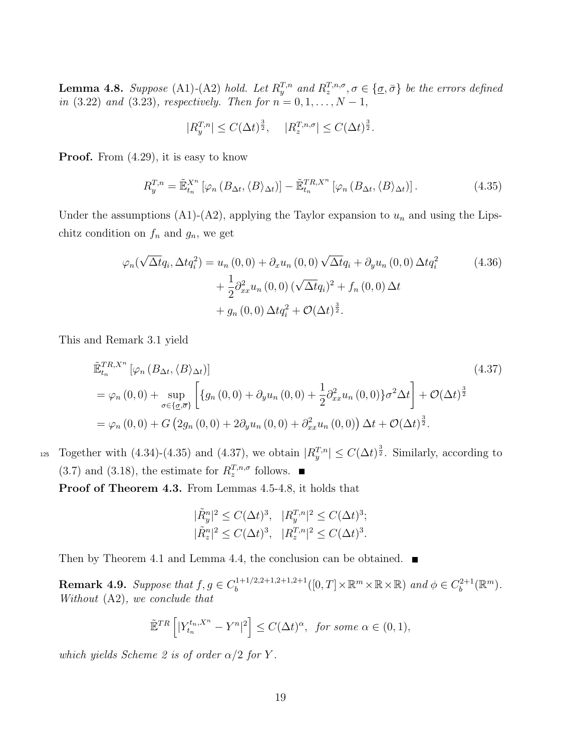**Lemma 4.8.** Suppose (A1)-(A2) hold. Let  $R_y^{T,n}$  and  $R_z^{T,n,\sigma}$ ,  $\sigma \in {\sigma, \bar{\sigma}}$  be the errors defined in (3.22) and (3.23), respectively. Then for  $n = 0, 1, ..., N - 1$ ,

$$
|R_y^{T,n}| \le C(\Delta t)^{\frac{3}{2}}, \quad |R_z^{T,n,\sigma}| \le C(\Delta t)^{\frac{3}{2}}.
$$

**Proof.** From  $(4.29)$ , it is easy to know

$$
R_y^{T,n} = \tilde{\mathbb{E}}_{t_n}^{X^n} \left[ \varphi_n \left( B_{\Delta t}, \langle B \rangle_{\Delta t} \right) \right] - \tilde{\mathbb{E}}_{t_n}^{T,R,X^n} \left[ \varphi_n \left( B_{\Delta t}, \langle B \rangle_{\Delta t} \right) \right]. \tag{4.35}
$$

Under the assumptions (A1)-(A2), applying the Taylor expansion to  $u_n$  and using the Lipschitz condition on  $f_n$  and  $g_n$ , we get

$$
\varphi_n(\sqrt{\Delta t}q_i, \Delta t q_i^2) = u_n(0,0) + \partial_x u_n(0,0) \sqrt{\Delta t}q_i + \partial_y u_n(0,0) \Delta t q_i^2
$$
  
+ 
$$
\frac{1}{2} \partial_{xx}^2 u_n(0,0) (\sqrt{\Delta t}q_i)^2 + f_n(0,0) \Delta t
$$
  
+ 
$$
g_n(0,0) \Delta t q_i^2 + \mathcal{O}(\Delta t)^{\frac{3}{2}}.
$$
 (4.36)

This and Remark 3.1 yield

$$
\tilde{\mathbb{E}}_{t_n}^{TR,X^n} \left[ \varphi_n \left( B_{\Delta t}, \langle B \rangle_{\Delta t} \right) \right]
$$
\n
$$
= \varphi_n \left( 0, 0 \right) + \sup_{\sigma \in \{\underline{\sigma}, \overline{\sigma}\}} \left[ \{ g_n \left( 0, 0 \right) + \partial_y u_n \left( 0, 0 \right) + \frac{1}{2} \partial_{xx}^2 u_n \left( 0, 0 \right) \} \sigma^2 \Delta t \right] + \mathcal{O}(\Delta t)^{\frac{3}{2}}
$$
\n
$$
= \varphi_n \left( 0, 0 \right) + G \left( 2g_n \left( 0, 0 \right) + 2\partial_y u_n \left( 0, 0 \right) + \partial_{xx}^2 u_n \left( 0, 0 \right) \right) \Delta t + \mathcal{O}(\Delta t)^{\frac{3}{2}}.
$$
\n
$$
(4.37)
$$

125 Together with (4.34)-(4.35) and (4.37), we obtain  $|R_y^{T,n}| \leq C(\Delta t)^{\frac{3}{2}}$ . Similarly, according to  $(3.7)$  and  $(3.18)$ , the estimate for  $R_z^{T,n,\sigma}$  follows.

Proof of Theorem 4.3. From Lemmas 4.5-4.8, it holds that

$$
\begin{aligned} |\tilde{R}_y^n|^2 &\leq C (\Delta t)^3, & |R_y^{T,n}|^2 \leq C (\Delta t)^3;\\ |\tilde{R}_z^n|^2 &\leq C (\Delta t)^3, & |R_z^{T,n}|^2 \leq C (\Delta t)^3. \end{aligned}
$$

Then by Theorem 4.1 and Lemma 4.4, the conclusion can be obtained.  $\blacksquare$ 

**Remark 4.9.** Suppose that  $f, g \in C_h^{1+1/2,2+1,2+1,2+1}$  $b_b^{(1+1/2,2+1,2+1,2+1)}([0,T]\times\mathbb{R}^m\times\mathbb{R}\times\mathbb{R})$  and  $\phi\in C_b^{2+1}$  $b^{2+1}(\mathbb{R}^m)$ . Without (A2), we conclude that

$$
\tilde{\mathbb{E}}^{TR}\left[|Y_{t_n}^{t_n,X^n}-Y^n|^2\right] \le C(\Delta t)^\alpha, \text{ for some } \alpha \in (0,1),
$$

which yields Scheme 2 is of order  $\alpha/2$  for Y.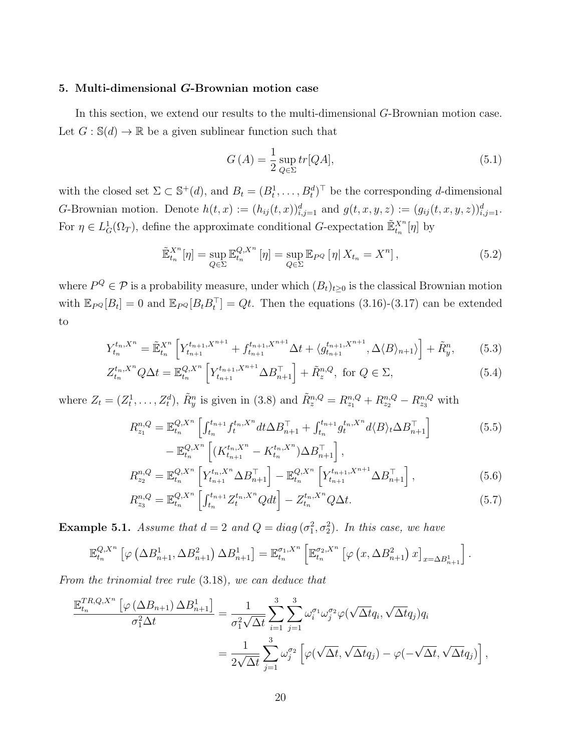# 5. Multi-dimensional G-Brownian motion case

In this section, we extend our results to the multi-dimensional G-Brownian motion case. Let  $G : \mathbb{S}(d) \to \mathbb{R}$  be a given sublinear function such that

$$
G(A) = \frac{1}{2} \sup_{Q \in \Sigma} tr[QA], \qquad (5.1)
$$

with the closed set  $\Sigma \subset \mathbb{S}^+(d)$ , and  $B_t = (B_t^1, \ldots, B_t^d)^{\top}$  be the corresponding d-dimensional G-Brownian motion. Denote  $h(t, x) := (h_{ij}(t, x))_{i,j=1}^d$  and  $g(t, x, y, z) := (g_{ij}(t, x, y, z))_{i,j=1}^d$ . For  $\eta \in L^1_G(\Omega_T)$ , define the approximate conditional G-expectation  $\tilde{\mathbb{E}}_{t_n}^{X^n}[\eta]$  by

$$
\tilde{\mathbb{E}}_{t_n}^{X^n}[\eta] = \sup_{Q \in \Sigma} \mathbb{E}_{t_n}^{Q, X^n}[\eta] = \sup_{Q \in \Sigma} \mathbb{E}_{P^Q}[\eta | X_{t_n} = X^n],\tag{5.2}
$$

where  $P^Q \in \mathcal{P}$  is a probability measure, under which  $(B_t)_{t\geq 0}$  is the classical Brownian motion with  $\mathbb{E}_{P^Q}[B_t] = 0$  and  $\mathbb{E}_{P^Q}[B_t B_t^\top] = Qt$ . Then the equations (3.16)-(3.17) can be extended to

$$
Y_{t_n}^{t_n, X^n} = \tilde{\mathbb{E}}_{t_n}^{X^n} \left[ Y_{t_{n+1}}^{t_{n+1}, X^{n+1}} + f_{t_{n+1}}^{t_{n+1}, X^{n+1}} \Delta t + \langle g_{t_{n+1}}^{t_{n+1}, X^{n+1}}, \Delta \langle B \rangle_{n+1} \rangle \right] + \tilde{R}_y^n, \tag{5.3}
$$

$$
Z_{t_n}^{t_n, X^n} Q \Delta t = \mathbb{E}_{t_n}^{Q, X^n} \left[ Y_{t_{n+1}}^{t_{n+1}, X^{n+1}} \Delta B_{n+1}^\top \right] + \tilde{R}_z^{n, Q}, \text{ for } Q \in \Sigma,
$$
\n(5.4)

where  $Z_t = (Z_t^1, \ldots, Z_t^d)$ ,  $\tilde{R}_y^n$  is given in (3.8) and  $\tilde{R}_z^{n,Q} = R_{z_1}^{n,Q} + R_{z_2}^{n,Q} - R_{z_3}^{n,Q}$  with

$$
R_{z_1}^{n,Q} = \mathbb{E}_{t_n}^{Q,X^n} \left[ \int_{t_n}^{t_{n+1}} f_t^{t_n,X^n} dt \Delta B_{n+1}^\top + \int_{t_n}^{t_{n+1}} g_t^{t_n,X^n} d\langle B \rangle_t \Delta B_{n+1}^\top \right] - \mathbb{E}_{t_n}^{Q,X^n} \left[ (K_{t_{n+1}}^{t_n,X^n} - K_{t_n}^{t_n,X^n}) \Delta B_{n+1}^\top \right], \tag{5.5}
$$

$$
R_{z_2}^{n,Q} = \mathbb{E}_{t_n}^{Q,X^n} \left[ Y_{t_{n+1}}^{t_n, X^n} \Delta B_{n+1}^\top \right] - \mathbb{E}_{t_n}^{Q,X^n} \left[ Y_{t_{n+1}}^{t_{n+1}, X^{n+1}} \Delta B_{n+1}^\top \right],
$$
\n(5.6)

$$
R_{z_3}^{n,Q} = \mathbb{E}_{t_n}^{Q,X^n} \left[ \int_{t_n}^{t_{n+1}} Z_t^{t_n,X^n} Q dt \right] - Z_{t_n}^{t_n,X^n} Q \Delta t.
$$
 (5.7)

**Example 5.1.** Assume that  $d = 2$  and  $Q = diag(\sigma_1^2, \sigma_2^2)$ . In this case, we have

$$
\mathbb{E}_{t_n}^{Q,X^n} \left[ \varphi \left( \Delta B_{n+1}^1, \Delta B_{n+1}^2 \right) \Delta B_{n+1}^1 \right] = \mathbb{E}_{t_n}^{\sigma_1,X^n} \left[ \mathbb{E}_{t_n}^{\sigma_2,X^n} \left[ \varphi \left( x, \Delta B_{n+1}^2 \right) x \right]_{x = \Delta B_{n+1}^1} \right].
$$

From the trinomial tree rule (3.18), we can deduce that

$$
\frac{\mathbb{E}_{t_n}^{TR,Q,X^n} \left[ \varphi \left( \Delta B_{n+1} \right) \Delta B_{n+1}^1 \right]}{\sigma_1^2 \Delta t} = \frac{1}{\sigma_1^2 \sqrt{\Delta t}} \sum_{i=1}^3 \sum_{j=1}^3 \omega_i^{\sigma_1} \omega_j^{\sigma_2} \varphi(\sqrt{\Delta t} q_i, \sqrt{\Delta t} q_j) q_i
$$

$$
= \frac{1}{2\sqrt{\Delta t}} \sum_{j=1}^3 \omega_j^{\sigma_2} \left[ \varphi(\sqrt{\Delta t}, \sqrt{\Delta t} q_j) - \varphi(-\sqrt{\Delta t}, \sqrt{\Delta t} q_j) \right],
$$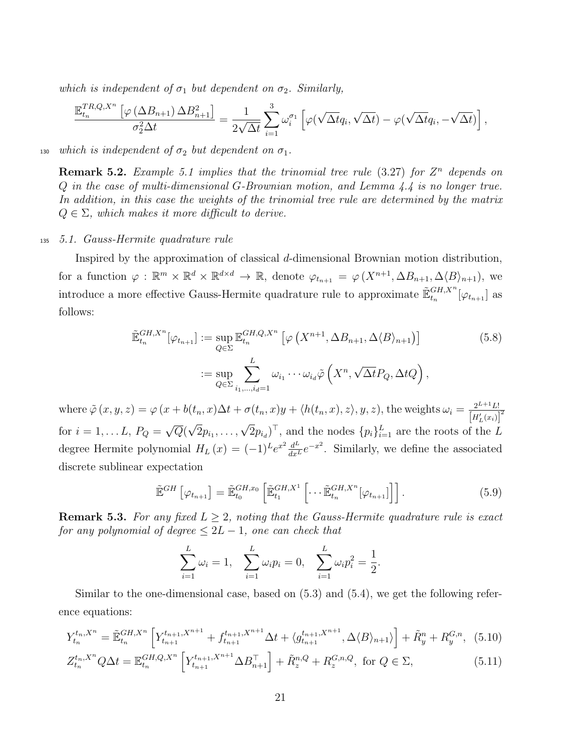which is independent of  $\sigma_1$  but dependent on  $\sigma_2$ . Similarly,

$$
\frac{\mathbb{E}_{t_n}^{TR,Q,X^n}\left[\varphi\left(\Delta B_{n+1}\right)\Delta B_{n+1}^2\right]}{\sigma_2^2\Delta t} = \frac{1}{2\sqrt{\Delta t}}\sum_{i=1}^3\omega_i^{\sigma_1}\left[\varphi\left(\sqrt{\Delta t}q_i,\sqrt{\Delta t}\right) - \varphi\left(\sqrt{\Delta t}q_i,-\sqrt{\Delta t}\right)\right],
$$

130 which is independent of  $\sigma_2$  but dependent on  $\sigma_1$ .

**Remark 5.2.** Example 5.1 implies that the trinomial tree rule  $(3.27)$  for  $Z<sup>n</sup>$  depends on Q in the case of multi-dimensional G-Brownian motion, and Lemma 4.4 is no longer true. In addition, in this case the weights of the trinomial tree rule are determined by the matrix  $Q \in \Sigma$ , which makes it more difficult to derive.

#### <sup>135</sup> 5.1. Gauss-Hermite quadrature rule

Inspired by the approximation of classical d-dimensional Brownian motion distribution, for a function  $\varphi : \mathbb{R}^m \times \mathbb{R}^d \times \mathbb{R}^{d \times d} \to \mathbb{R}$ , denote  $\varphi_{t_{n+1}} = \varphi(X^{n+1}, \Delta B_{n+1}, \Delta \langle B \rangle_{n+1})$ , we introduce a more effective Gauss-Hermite quadrature rule to approximate  $\tilde{\mathbb{E}}_{t_n}^{GH,X^n}[\varphi_{t_{n+1}}]$  as follows:

$$
\tilde{\mathbb{E}}_{t_n}^{GH,X^n}[\varphi_{t_{n+1}}] := \sup_{Q \in \Sigma} \mathbb{E}_{t_n}^{GH,Q,X^n} \left[ \varphi \left( X^{n+1}, \Delta B_{n+1}, \Delta \langle B \rangle_{n+1} \right) \right]
$$
\n
$$
:= \sup_{Q \in \Sigma} \sum_{i_1, \dots, i_d = 1}^{L} \omega_{i_1} \cdots \omega_{i_d} \tilde{\varphi} \left( X^n, \sqrt{\Delta t} P_Q, \Delta t Q \right),
$$
\n(5.8)

where  $\tilde{\varphi}(x, y, z) = \varphi(x + b(t_n, x)\Delta t + \sigma(t_n, x)y + \langle h(t_n, x), z \rangle, y, z)$ , the weights  $\omega_i = \frac{2^{L+1}L!}{|U_i(z)|!}$  $\overline{\left[H_{L}'(x_i)\right]^2}$ for  $i = 1, ... L, P_Q =$ √  $\overline{Q}(% \overline{Q}(\overline{Q}))=\overline{Q}(\overline{Q})=\overline{Q}(\overline{Q})$ √  $\overline{2}p_{i_1}, \ldots, \sqrt{2}p_{i_d}$ , and the nodes  $\{p_i\}_{i=1}^L$  are the roots of the L degree Hermite polynomial  $H_L(x) = (-1)^L e^{x^2} \frac{d^L}{dx^L} e^{-x^2}$ . Similarly, we define the associated discrete sublinear expectation

$$
\widetilde{\mathbb{E}}^{GH}\left[\varphi_{t_{n+1}}\right] = \widetilde{\mathbb{E}}_{t_0}^{GH,x_0}\left[\widetilde{\mathbb{E}}_{t_1}^{GH,X^1}\left[\cdots\widetilde{\mathbb{E}}_{t_n}^{GH,X^n}[\varphi_{t_{n+1}}]\right]\right].\tag{5.9}
$$

**Remark 5.3.** For any fixed  $L \geq 2$ , noting that the Gauss-Hermite quadrature rule is exact for any polynomial of degree  $\leq 2L-1$ , one can check that

$$
\sum_{i=1}^{L} \omega_i = 1, \quad \sum_{i=1}^{L} \omega_i p_i = 0, \quad \sum_{i=1}^{L} \omega_i p_i^2 = \frac{1}{2}.
$$

Similar to the one-dimensional case, based on (5.3) and (5.4), we get the following reference equations:

$$
Y_{t_n}^{t_n, X^n} = \tilde{\mathbb{E}}_{t_n}^{GH, X^n} \left[ Y_{t_{n+1}}^{t_{n+1}, X^{n+1}} + f_{t_{n+1}}^{t_{n+1}, X^{n+1}} \Delta t + \langle g_{t_{n+1}}^{t_{n+1}, X^{n+1}}, \Delta \langle B \rangle_{n+1} \rangle \right] + \tilde{R}_y^n + R_y^{G, n}, \tag{5.10}
$$

$$
Z_{t_n}^{t_n, X^n} Q \Delta t = \mathbb{E}_{t_n}^{GH, Q, X^n} \left[ Y_{t_{n+1}}^{t_{n+1}, X^{n+1}} \Delta B_{n+1}^\top \right] + \tilde{R}_z^{n, Q} + R_z^{G, n, Q}, \text{ for } Q \in \Sigma,
$$
\n(5.11)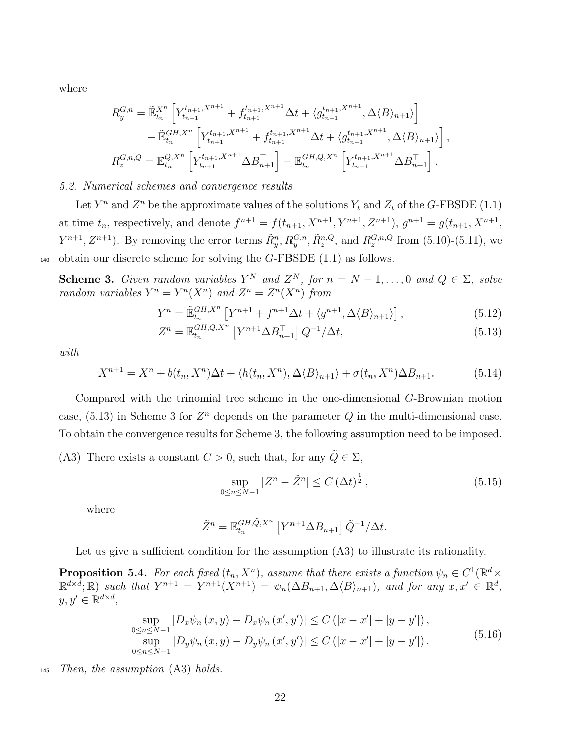where

$$
R_y^{G,n} = \tilde{\mathbb{E}}_{t_n}^{X^n} \left[ Y_{t_{n+1}}^{t_{n+1}, X^{n+1}} + f_{t_{n+1}}^{t_{n+1}, X^{n+1}} \Delta t + \langle g_{t_{n+1}}^{t_{n+1}, X^{n+1}}, \Delta \langle B \rangle_{n+1} \rangle \right] - \tilde{\mathbb{E}}_{t_n}^{GH, X^n} \left[ Y_{t_{n+1}}^{t_{n+1}, X^{n+1}} + f_{t_{n+1}}^{t_{n+1}, X^{n+1}} \Delta t + \langle g_{t_{n+1}}^{t_{n+1}, X^{n+1}}, \Delta \langle B \rangle_{n+1} \rangle \right],
$$
  

$$
R_z^{G,n,Q} = \mathbb{E}_{t_n}^{Q, X^n} \left[ Y_{t_{n+1}}^{t_{n+1}, X^{n+1}} \Delta B_{n+1}^{\top} \right] - \mathbb{E}_{t_n}^{GH, Q, X^n} \left[ Y_{t_{n+1}}^{t_{n+1}, X^{n+1}} \Delta B_{n+1}^{\top} \right].
$$

#### 5.2. Numerical schemes and convergence results

Let  $Y^n$  and  $Z^n$  be the approximate values of the solutions  $Y_t$  and  $Z_t$  of the G-FBSDE (1.1) at time  $t_n$ , respectively, and denote  $f^{n+1} = f(t_{n+1}, X^{n+1}, Y^{n+1}, Z^{n+1}), g^{n+1} = g(t_{n+1}, X^{n+1}, Z^{n+1})$  $Y^{n+1}, Z^{n+1}$ ). By removing the error terms  $\tilde{R}_y^n, R_y^{G,n}, \tilde{R}_z^{n,Q}$ , and  $R_z^{G,n,Q}$  from (5.10)-(5.11), we 140 obtain our discrete scheme for solving the  $G$ -FBSDE  $(1.1)$  as follows.

**Scheme 3.** Given random variables  $Y^N$  and  $Z^N$ , for  $n = N - 1, \ldots, 0$  and  $Q \in \Sigma$ , solve random variables  $Y^n = Y^n(X^n)$  and  $Z^n = Z^n(X^n)$  from

$$
Y^{n} = \tilde{\mathbb{E}}_{t_{n}}^{GH,X^{n}} \left[ Y^{n+1} + f^{n+1} \Delta t + \langle g^{n+1}, \Delta \langle B \rangle_{n+1} \rangle \right],
$$
\n(5.12)

$$
Z^{n} = \mathbb{E}_{t_{n}}^{GH,Q,X^{n}} \left[ Y^{n+1} \Delta B_{n+1}^{\top} \right] Q^{-1} / \Delta t, \qquad (5.13)
$$

with

$$
X^{n+1} = X^n + b(t_n, X^n) \Delta t + \langle h(t_n, X^n), \Delta \langle B \rangle_{n+1} \rangle + \sigma(t_n, X^n) \Delta B_{n+1}.
$$
 (5.14)

Compared with the trinomial tree scheme in the one-dimensional G-Brownian motion case,  $(5.13)$  in Scheme 3 for  $Z<sup>n</sup>$  depends on the parameter Q in the multi-dimensional case. To obtain the convergence results for Scheme 3, the following assumption need to be imposed.

(A3) There exists a constant  $C > 0$ , such that, for any  $\tilde{Q} \in \Sigma$ ,

$$
\sup_{0 \le n \le N-1} |Z^n - \tilde{Z}^n| \le C \left(\Delta t\right)^{\frac{1}{2}},\tag{5.15}
$$

where

$$
\tilde{Z}^n = \mathbb{E}_{t_n}^{GH, \tilde{Q}, X^n} \left[ Y^{n+1} \Delta B_{n+1} \right] \tilde{Q}^{-1} / \Delta t.
$$

Let us give a sufficient condition for the assumption (A3) to illustrate its rationality.

**Proposition 5.4.** For each fixed  $(t_n, X^n)$ , assume that there exists a function  $\psi_n \in C^1(\mathbb{R}^d \times$  $\mathbb{R}^{d \times d}; \mathbb{R}$  such that  $Y^{n+1} = Y^{n+1}(X^{n+1}) = \psi_n(\Delta B_{n+1}, \Delta \langle B \rangle_{n+1}),$  and for any  $x, x' \in \mathbb{R}^d$ ,  $y, y' \in \mathbb{R}^{d \times d}$ ,

$$
\sup_{0 \le n \le N-1} |D_x \psi_n(x, y) - D_x \psi_n(x', y')| \le C (|x - x'| + |y - y'|),
$$
  
\n
$$
\sup_{0 \le n \le N-1} |D_y \psi_n(x, y) - D_y \psi_n(x', y')| \le C (|x - x'| + |y - y'|).
$$
\n(5.16)

<sup>145</sup> Then, the assumption (A3) holds.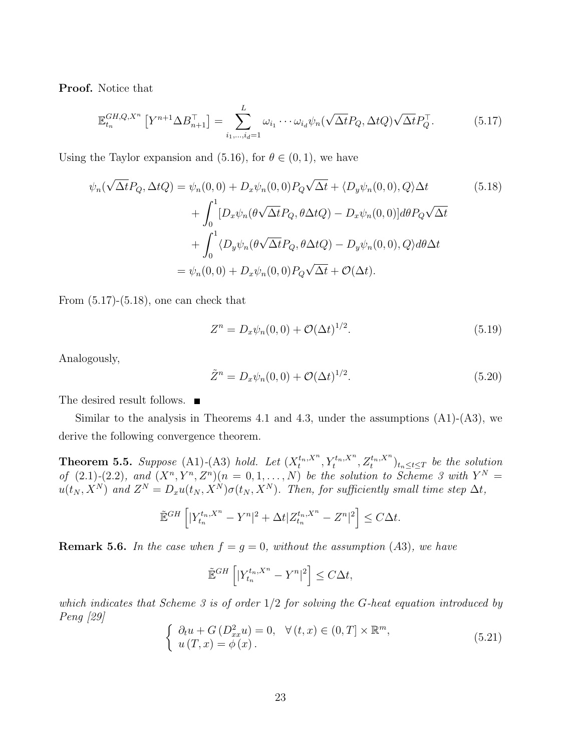Proof. Notice that

$$
\mathbb{E}_{t_n}^{GH,Q,X^n} \left[ Y^{n+1} \Delta B_{n+1}^\top \right] = \sum_{i_1,\dots,i_d=1}^L \omega_{i_1} \cdots \omega_{i_d} \psi_n(\sqrt{\Delta t} P_Q, \Delta t Q) \sqrt{\Delta t} P_Q^\top. \tag{5.17}
$$

Using the Taylor expansion and (5.16), for  $\theta \in (0,1)$ , we have

$$
\psi_n(\sqrt{\Delta t}P_Q, \Delta tQ) = \psi_n(0,0) + D_x \psi_n(0,0) P_Q \sqrt{\Delta t} + \langle D_y \psi_n(0,0), Q \rangle \Delta t
$$
\n
$$
+ \int_0^1 [D_x \psi_n(\theta \sqrt{\Delta t} P_Q, \theta \Delta tQ) - D_x \psi_n(0,0)] d\theta P_Q \sqrt{\Delta t}
$$
\n
$$
+ \int_0^1 \langle D_y \psi_n(\theta \sqrt{\Delta t} P_Q, \theta \Delta tQ) - D_y \psi_n(0,0), Q \rangle d\theta \Delta t
$$
\n
$$
= \psi_n(0,0) + D_x \psi_n(0,0) P_Q \sqrt{\Delta t} + \mathcal{O}(\Delta t).
$$
\n(5.18)

From  $(5.17)-(5.18)$ , one can check that

$$
Z^{n} = D_{x}\psi_{n}(0,0) + \mathcal{O}(\Delta t)^{1/2}.
$$
\n(5.19)

Analogously,

$$
\tilde{Z}^n = D_x \psi_n(0,0) + \mathcal{O}(\Delta t)^{1/2}.
$$
\n(5.20)

The desired result follows. ■

Similar to the analysis in Theorems 4.1 and 4.3, under the assumptions  $(A1)-(A3)$ , we derive the following convergence theorem.

**Theorem 5.5.** Suppose (A1)-(A3) hold. Let  $(X_t^{t_n,X^n}, Y_t^{t_n,X^n}, Z_t^{t_n,X^n})_{t_n \le t \le T}$  be the solution of  $(2.1)-(2.2)$ , and  $(X^n, Y^n, Z^n)(n = 0, 1, \ldots, N)$  be the solution to Scheme 3 with  $Y^N =$  $u(t_N, X^N)$  and  $Z^N = D_x u(t_N, X^N) \sigma(t_N, X^N)$ . Then, for sufficiently small time step  $\Delta t$ ,

$$
\tilde{\mathbb{E}}^{GH}\left[|Y_{t_n}^{t_n,X^n}-Y^n|^2+\Delta t|Z_{t_n}^{t_n,X^n}-Z^n|^2\right]\leq C\Delta t.
$$

**Remark 5.6.** In the case when  $f = g = 0$ , without the assumption (A3), we have

$$
\widetilde{\mathbb{E}}^{GH}\left[|Y^{t_n,X^n}_{t_n} - Y^n|^2\right] \le C\Delta t,
$$

which indicates that Scheme 3 is of order  $1/2$  for solving the G-heat equation introduced by Peng [29]

$$
\begin{cases}\n\partial_t u + G\left(D_{xx}^2 u\right) = 0, & \forall (t, x) \in (0, T] \times \mathbb{R}^m, \\
u(T, x) = \phi(x).\n\end{cases}
$$
\n(5.21)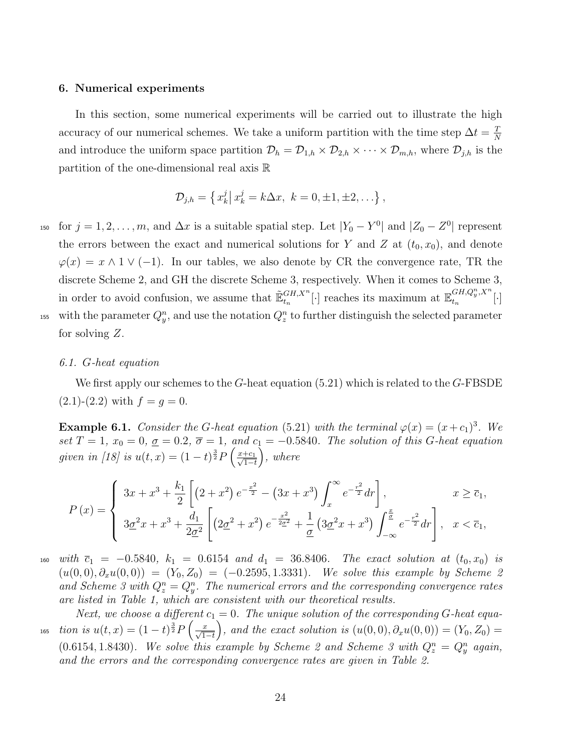## 6. Numerical experiments

In this section, some numerical experiments will be carried out to illustrate the high accuracy of our numerical schemes. We take a uniform partition with the time step  $\Delta t = \frac{T}{\Delta}$ N and introduce the uniform space partition  $\mathcal{D}_h = \mathcal{D}_{1,h} \times \mathcal{D}_{2,h} \times \cdots \times \mathcal{D}_{m,h}$ , where  $\mathcal{D}_{j,h}$  is the partition of the one-dimensional real axis R

$$
\mathcal{D}_{j,h} = \left\{ x_k^j \middle| x_k^j = k\Delta x, \ k = 0, \pm 1, \pm 2, \ldots \right\},\
$$

<sup>150</sup> for  $j = 1, 2, ..., m$ , and  $\Delta x$  is a suitable spatial step. Let  $|Y_0 - Y^0|$  and  $|Z_0 - Z^0|$  represent the errors between the exact and numerical solutions for Y and Z at  $(t_0, x_0)$ , and denote  $\varphi(x) = x \wedge 1 \vee (-1)$ . In our tables, we also denote by CR the convergence rate, TR the discrete Scheme 2, and GH the discrete Scheme 3, respectively. When it comes to Scheme 3, in order to avoid confusion, we assume that  $\mathbb{E}_{t_n}^{GH,X^n}[\cdot]$  reaches its maximum at  $\mathbb{E}_{t_n}^{GH,Q_y^n,X^n}$  $\begin{bmatrix} GII,\mathcal{Q}_y,\Lambda \ t_n \end{bmatrix}[\cdot]$ <sup>155</sup> with the parameter  $Q_y^n$ , and use the notation  $Q_z^n$  to further distinguish the selected parameter



## 6.1. G-heat equation

for solving Z.

We first apply our schemes to the G-heat equation  $(5.21)$  which is related to the G-FBSDE  $(2.1)-(2.2)$  with  $f = g = 0$ .

**Example 6.1.** Consider the G-heat equation (5.21) with the terminal  $\varphi(x) = (x+c_1)^3$ . We set  $T = 1$ ,  $x_0 = 0$ ,  $\sigma = 0.2$ ,  $\overline{\sigma} = 1$ , and  $c_1 = -0.5840$ . The solution of this G-heat equation given in [18] is  $u(t, x) = (1 - t)^{\frac{3}{2}} P\left(\frac{x + c_1}{\sqrt{1 - t}}\right)$  $\big)$ , where

$$
P(x) = \begin{cases} 3x + x^3 + \frac{k_1}{2} \left[ (2 + x^2) e^{-\frac{x^2}{2}} - (3x + x^3) \int_x^{\infty} e^{-\frac{r^2}{2}} dr \right], & x \ge \overline{c}_1, \\ 3\underline{\sigma}^2 x + x^3 + \frac{d_1}{2\underline{\sigma}^2} \left[ (2\underline{\sigma}^2 + x^2) e^{-\frac{x^2}{2\underline{\sigma}^2}} + \frac{1}{\underline{\sigma}} (3\underline{\sigma}^2 x + x^3) \int_{-\infty}^{\frac{x}{\underline{\sigma}}} e^{-\frac{r^2}{2}} dr \right], & x < \overline{c}_1, \end{cases}
$$

160 with  $\bar{c}_1 = -0.5840$ ,  $k_1 = 0.6154$  and  $d_1 = 36.8406$ . The exact solution at  $(t_0, x_0)$  is  $(u(0,0), \partial_x u(0,0)) = (Y_0, Z_0) = (-0.2595, 1.3331)$ . We solve this example by Scheme 2 and Scheme 3 with  $Q_x^n = Q_y^n$ . The numerical errors and the corresponding convergence rates are listed in Table 1, which are consistent with our theoretical results.

Next, we choose a different  $c_1 = 0$ . The unique solution of the corresponding G-heat equation is  $u(t, x) = (1 - t)^{\frac{3}{2}} P\left(\frac{x}{\sqrt{1 - t}}\right)$ 165 tion is  $u(t, x) = (1 - t)^{\frac{3}{2}} P\left(\frac{x}{\sqrt{1-t}}\right)$ , and the exact solution is  $(u(0, 0), \partial_x u(0, 0)) = (Y_0, Z_0) =$  $(0.6154, 1.8430)$ . We solve this example by Scheme 2 and Scheme 3 with  $Q_z^n = Q_y^n$  again, and the errors and the corresponding convergence rates are given in Table 2.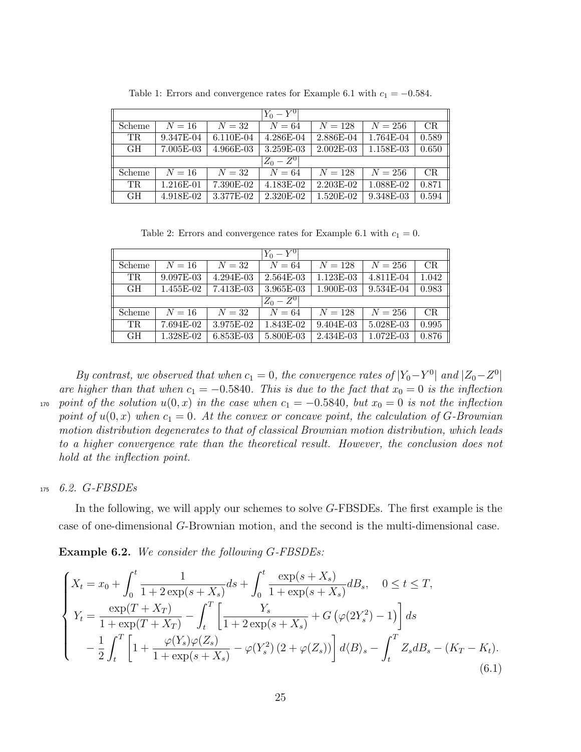| $ Y_0 - \bar{Y}^0 $ |           |           |             |             |           |       |  |  |
|---------------------|-----------|-----------|-------------|-------------|-----------|-------|--|--|
| Scheme              | $N=16$    | $N=32$    | $N=64$      | $N = 128$   | $N = 256$ | CR.   |  |  |
| TR                  | 9.347E-04 | 6.110E-04 | $4.286E-04$ | 2.886E-04   | 1.764E-04 | 0.589 |  |  |
| GH                  | 7.005E-03 | 4.966E-03 | 3.259E-03   | $2.002E-03$ | 1.158E-03 | 0.650 |  |  |
| $ Z_0-Z^0 $         |           |           |             |             |           |       |  |  |
| Scheme              | $N=16$    | $N=32$    | $N = 64$    | $N = 128$   | $N = 256$ | CR.   |  |  |
| TR.                 | 1.216E-01 | 7.390E-02 | 4.183E-02   | $2.203E-02$ | 1.088E-02 | 0.871 |  |  |
| GH                  | 4.918E-02 | 3.377E-02 | 2.320E-02   | 1.520E-02   | 9.348E-03 | 0.594 |  |  |

Table 1: Errors and convergence rates for Example 6.1 with  $c_1 = -0.584$ .

Table 2: Errors and convergence rates for Example 6.1 with  $c_1 = 0$ .

| $ Y_0 - Y^0 $ |           |             |             |             |             |       |  |  |
|---------------|-----------|-------------|-------------|-------------|-------------|-------|--|--|
| Scheme        | $N=16$    | $N=32$      | $N=64$      | $N = 128$   | $N = 256$   | CR    |  |  |
| TR.           | 9.097E-03 | 4.294E-03   | $2.564E-03$ | 1.123E-03   | 4.811E-04   | 1.042 |  |  |
| GH            | 1.455E-02 | 7.413E-03   | 3.965E-03   | 1.900E-03   | 9.534E-04   | 0.983 |  |  |
| $Z_0 - Z^0$   |           |             |             |             |             |       |  |  |
| Scheme        | $N=16$    | $N=32$      | $N=64$      | $N = 128$   | $N = 256$   | CR    |  |  |
| TR.           | 7.694E-02 | 3.975E-02   | 1.843E-02   | $9.404E-03$ | 5.028E-03   | 0.995 |  |  |
| GH            | 1.328E-02 | $6.853E-03$ | 5.800E-03   | 2.434E-03   | $1.072E-03$ | 0.876 |  |  |

By contrast, we observed that when  $c_1 = 0$ , the convergence rates of  $|Y_0 - Y^0|$  and  $|Z_0 - Z^0|$ are higher than that when  $c_1 = -0.5840$ . This is due to the fact that  $x_0 = 0$  is the inflection 170 point of the solution  $u(0, x)$  in the case when  $c_1 = -0.5840$ , but  $x_0 = 0$  is not the inflection point of  $u(0, x)$  when  $c_1 = 0$ . At the convex or concave point, the calculation of G-Brownian motion distribution degenerates to that of classical Brownian motion distribution, which leads to a higher convergence rate than the theoretical result. However, the conclusion does not hold at the inflection point.

# <sup>175</sup> 6.2. G-FBSDEs

In the following, we will apply our schemes to solve G-FBSDEs. The first example is the case of one-dimensional G-Brownian motion, and the second is the multi-dimensional case.

Example 6.2. We consider the following G-FBSDEs:

$$
\begin{cases}\nX_t = x_0 + \int_0^t \frac{1}{1 + 2 \exp(s + X_s)} ds + \int_0^t \frac{\exp(s + X_s)}{1 + \exp(s + X_s)} dB_s, & 0 \le t \le T, \\
Y_t = \frac{\exp(T + X_T)}{1 + \exp(T + X_T)} - \int_t^T \left[ \frac{Y_s}{1 + 2 \exp(s + X_s)} + G\left(\varphi(2Y_s^2) - 1\right) \right] ds \\
-\frac{1}{2} \int_t^T \left[ 1 + \frac{\varphi(Y_s)\varphi(Z_s)}{1 + \exp(s + X_s)} - \varphi(Y_s^2)\left(2 + \varphi(Z_s)\right) \right] d\langle B \rangle_s - \int_t^T Z_s dB_s - (K_T - K_t). \tag{6.1}\n\end{cases}
$$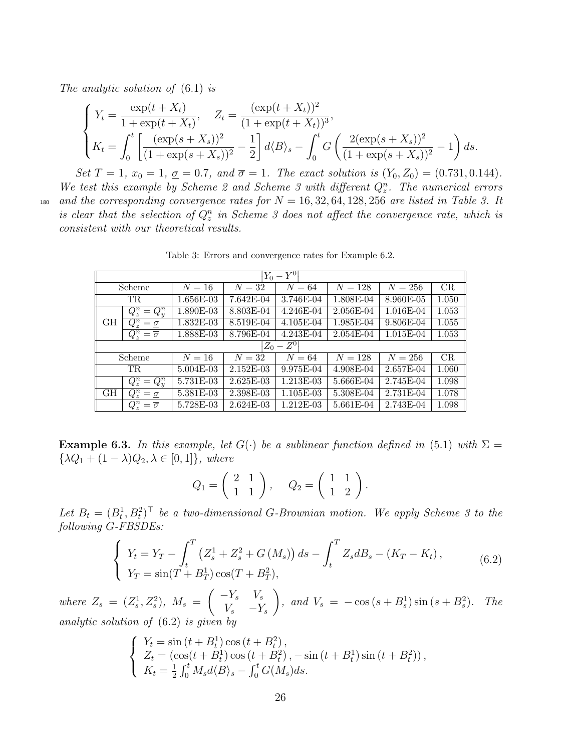The analytic solution of (6.1) is

$$
\begin{cases}\nY_t = \frac{\exp(t + X_t)}{1 + \exp(t + X_t)}, \quad Z_t = \frac{(\exp(t + X_t))^2}{(1 + \exp(t + X_t))^3}, \\
K_t = \int_0^t \left[ \frac{(\exp(s + X_s))^2}{(1 + \exp(s + X_s))^2} - \frac{1}{2} \right] d\langle B \rangle_s - \int_0^t G \left( \frac{2(\exp(s + X_s))^2}{(1 + \exp(s + X_s))^2} - 1 \right) ds.\n\end{cases}
$$

Set  $T = 1$ ,  $x_0 = 1$ ,  $\sigma = 0.7$ , and  $\overline{\sigma} = 1$ . The exact solution is  $(Y_0, Z_0) = (0.731, 0.144)$ .

We test this example by Scheme 2 and Scheme 3 with different  $Q_z^n$ . The numerical errors 180 and the corresponding convergence rates for  $N = 16, 32, 64, 128, 256$  are listed in Table 3. It is clear that the selection of  $Q_z^n$  in Scheme 3 does not affect the convergence rate, which is consistent with our theoretical results.

| $ Y_0-Y^0 $   |                                        |           |             |             |             |             |       |  |
|---------------|----------------------------------------|-----------|-------------|-------------|-------------|-------------|-------|--|
| Scheme        |                                        | $N=16$    | $N=32$      | $N = 64$    | $N = 128$   | $N = 256$   | CR    |  |
| TR.           |                                        | 1.656E-03 | 7.642E-04   | 3.746E-04   | 1.808E-04   | 8.960E-05   | 1.050 |  |
|               | $Q_z^n = Q_u^n$                        | 1.890E-03 | 8.803E-04   | 4.246E-04   | 2.056E-04   | 1.016E-04   | 1.053 |  |
| GH            | $Q^n_{\tilde{z}} = \underline{\sigma}$ | 1.832E-03 | 8.519E-04   | 4.105E-04   | 1.985E-04   | 9.806E-04   | 1.055 |  |
|               | $Q^n_{\tilde{z}} = \overline{\sigma}$  | 1.888E-03 | 8.796E-04   | 4.243E-04   | $2.054E-04$ | $1.015E-04$ | 1.053 |  |
| $^1Z_0-Z^0$ i |                                        |           |             |             |             |             |       |  |
| Scheme        |                                        | $N=16$    | $N=32$      | $N=64$      | $N = 128$   | $N = 256$   | CR    |  |
| TR.           |                                        | 5.004E-03 | $2.152E-03$ | 9.975E-04   | 4.908E-04   | 2.657E-04   | 1.060 |  |
|               | $Q_z^n = Q_y^n$                        | 5.731E-03 | $2.625E-03$ | 1.213E-03   | 5.666E-04   | 2.745E-04   | 1.098 |  |
| GН            | $Q^n_{\tilde{z}} = \underline{\sigma}$ | 5.381E-03 | 2.398E-03   | 1.105E-03   | 5.308E-04   | 2.731E-04   | 1.078 |  |
|               | $Q^n_{\tilde{z}} = \overline{\sigma}$  | 5.728E-03 | $2.624E-03$ | $1.212E-03$ | 5.661E-04   | 2.743E-04   | 1.098 |  |

Table 3: Errors and convergence rates for Example 6.2.

**Example 6.3.** In this example, let  $G(\cdot)$  be a sublinear function defined in (5.1) with  $\Sigma$  $\{\lambda Q_1 + (1 - \lambda)Q_2, \lambda \in [0, 1]\},\ where$ 

$$
Q_1 = \left(\begin{array}{cc} 2 & 1 \\ 1 & 1 \end{array}\right), \quad Q_2 = \left(\begin{array}{cc} 1 & 1 \\ 1 & 2 \end{array}\right).
$$

Let  $B_t = (B_t^1, B_t^2)^\top$  be a two-dimensional G-Brownian motion. We apply Scheme 3 to the following G-FBSDEs:

$$
\begin{cases}\nY_t = Y_T - \int_t^T \left(Z_s^1 + Z_s^2 + G\left(M_s\right)\right) ds - \int_t^T Z_s dB_s - (K_T - K_t), \\
Y_T = \sin(T + B_T^1)\cos(T + B_T^2),\n\end{cases} \tag{6.2}
$$

where  $Z_s = (Z_s^1, Z_s^2), M_s =$  $\left( -Y_s \quad V_s \right)$  $V_s$  –  $Y_s$  $\Big), \text{ and } V_s = -\cos(s+B_s^1)\sin(s+B_s^2). \text{ The }$ analytic solution of (6.2) is given by

$$
\begin{cases}\nY_t = \sin(t + B_t^1)\cos(t + B_t^2), \\
Z_t = (\cos(t + B_t^1)\cos(t + B_t^2), -\sin(t + B_t^1)\sin(t + B_t^2)), \\
K_t = \frac{1}{2}\int_0^t M_s d\langle B \rangle_s - \int_0^t G(M_s) ds.\n\end{cases}
$$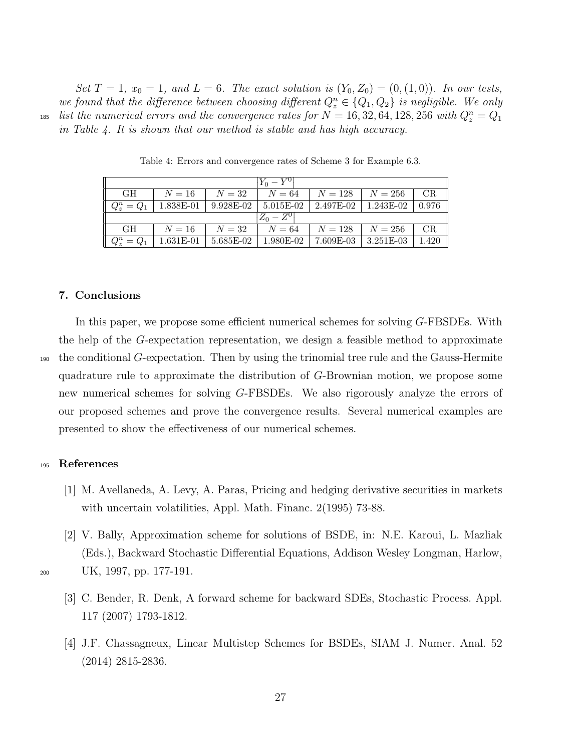Set  $T = 1$ ,  $x_0 = 1$ , and  $L = 6$ . The exact solution is  $(Y_0, Z_0) = (0, (1, 0))$ . In our tests, we found that the difference between choosing different  $Q_z^n \in \{Q_1, Q_2\}$  is negligible. We only  $\mu_{\text{1}}$  list the numerical errors and the convergence rates for  $N=16, 32, 64, 128, 256$  with  $Q_z^n=Q_1$ in Table 4. It is shown that our method is stable and has high accuracy.

| $Y_0 - Y^0$   |           |             |             |           |             |       |  |  |
|---------------|-----------|-------------|-------------|-----------|-------------|-------|--|--|
| GH.           | $N=16$    | $N=32$      | $N = 64$    | $N = 128$ | $N = 256$   | CR.   |  |  |
| $Q_z^n = Q_1$ | 1.838E-01 | 9.928E-02   | $5.015E-02$ | 2.497E-02 | 1.243E-02   | 0.976 |  |  |
| $ Z_0 - Z^0 $ |           |             |             |           |             |       |  |  |
| <b>GH</b>     | $N=16$    | $N=32$      | $N=64$      | $N = 128$ | $N=256$     | CR.   |  |  |
| $Q_2^n=Q_1$   | 1.631E-01 | $5.685E-02$ | 1.980E-02   | 7.609E-03 | $3.251E-03$ | 1.420 |  |  |

Table 4: Errors and convergence rates of Scheme 3 for Example 6.3.

# 7. Conclusions

In this paper, we propose some efficient numerical schemes for solving G-FBSDEs. With the help of the G-expectation representation, we design a feasible method to approximate <sup>190</sup> the conditional G-expectation. Then by using the trinomial tree rule and the Gauss-Hermite quadrature rule to approximate the distribution of G-Brownian motion, we propose some new numerical schemes for solving G-FBSDEs. We also rigorously analyze the errors of our proposed schemes and prove the convergence results. Several numerical examples are presented to show the effectiveness of our numerical schemes.

## <sup>195</sup> References

- [1] M. Avellaneda, A. Levy, A. Paras, Pricing and hedging derivative securities in markets with uncertain volatilities, Appl. Math. Financ. 2(1995) 73-88.
- [2] V. Bally, Approximation scheme for solutions of BSDE, in: N.E. Karoui, L. Mazliak (Eds.), Backward Stochastic Differential Equations, Addison Wesley Longman, Harlow, <sup>200</sup> UK, 1997, pp. 177-191.
- 
- [3] C. Bender, R. Denk, A forward scheme for backward SDEs, Stochastic Process. Appl. 117 (2007) 1793-1812.
- [4] J.F. Chassagneux, Linear Multistep Schemes for BSDEs, SIAM J. Numer. Anal. 52 (2014) 2815-2836.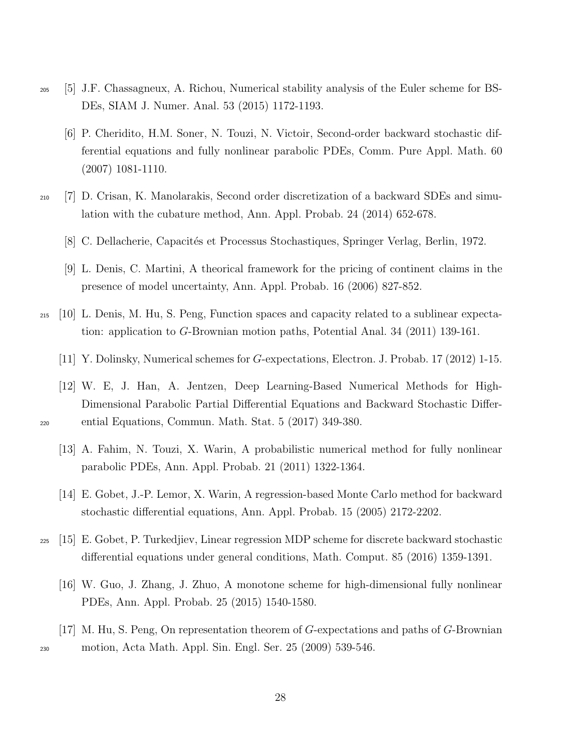- <sup>205</sup> [5] J.F. Chassagneux, A. Richou, Numerical stability analysis of the Euler scheme for BS-DEs, SIAM J. Numer. Anal. 53 (2015) 1172-1193.
	- [6] P. Cheridito, H.M. Soner, N. Touzi, N. Victoir, Second-order backward stochastic differential equations and fully nonlinear parabolic PDEs, Comm. Pure Appl. Math. 60 (2007) 1081-1110.
- <sup>210</sup> [7] D. Crisan, K. Manolarakis, Second order discretization of a backward SDEs and simulation with the cubature method, Ann. Appl. Probab. 24 (2014) 652-678.
	- [8] C. Dellacherie, Capacités et Processus Stochastiques, Springer Verlag, Berlin, 1972.
	- [9] L. Denis, C. Martini, A theorical framework for the pricing of continent claims in the presence of model uncertainty, Ann. Appl. Probab. 16 (2006) 827-852.
- <sup>215</sup> [10] L. Denis, M. Hu, S. Peng, Function spaces and capacity related to a sublinear expectation: application to G-Brownian motion paths, Potential Anal. 34 (2011) 139-161.
	- [11] Y. Dolinsky, Numerical schemes for G-expectations, Electron. J. Probab. 17 (2012) 1-15.
- [12] W. E, J. Han, A. Jentzen, Deep Learning-Based Numerical Methods for High-Dimensional Parabolic Partial Differential Equations and Backward Stochastic Differ-<sup>220</sup> ential Equations, Commun. Math. Stat. 5 (2017) 349-380.
	- [13] A. Fahim, N. Touzi, X. Warin, A probabilistic numerical method for fully nonlinear parabolic PDEs, Ann. Appl. Probab. 21 (2011) 1322-1364.
	- [14] E. Gobet, J.-P. Lemor, X. Warin, A regression-based Monte Carlo method for backward stochastic differential equations, Ann. Appl. Probab. 15 (2005) 2172-2202.
- <sup>225</sup> [15] E. Gobet, P. Turkedjiev, Linear regression MDP scheme for discrete backward stochastic differential equations under general conditions, Math. Comput. 85 (2016) 1359-1391.
	- [16] W. Guo, J. Zhang, J. Zhuo, A monotone scheme for high-dimensional fully nonlinear PDEs, Ann. Appl. Probab. 25 (2015) 1540-1580.
- [17] M. Hu, S. Peng, On representation theorem of G-expectations and paths of G-Brownian <sup>230</sup> motion, Acta Math. Appl. Sin. Engl. Ser. 25 (2009) 539-546.

28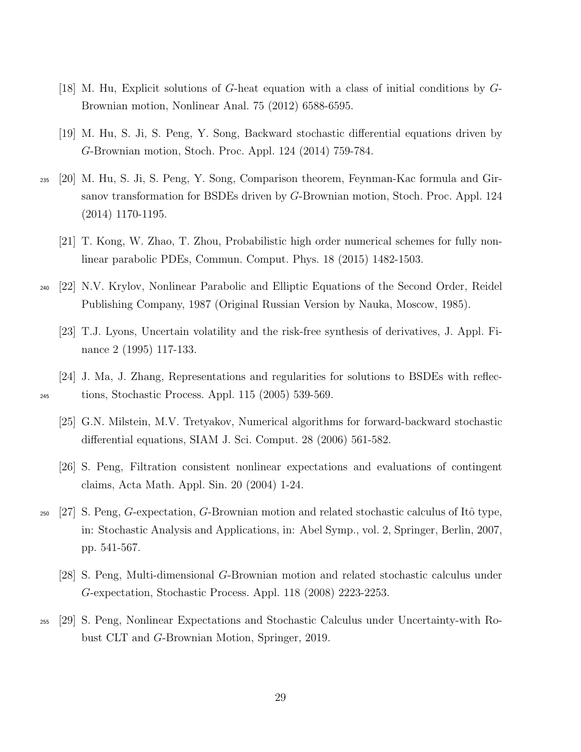- [18] M. Hu, Explicit solutions of G-heat equation with a class of initial conditions by G-Brownian motion, Nonlinear Anal. 75 (2012) 6588-6595.
- [19] M. Hu, S. Ji, S. Peng, Y. Song, Backward stochastic differential equations driven by G-Brownian motion, Stoch. Proc. Appl. 124 (2014) 759-784.
- <sup>235</sup> [20] M. Hu, S. Ji, S. Peng, Y. Song, Comparison theorem, Feynman-Kac formula and Girsanov transformation for BSDEs driven by G-Brownian motion, Stoch. Proc. Appl. 124 (2014) 1170-1195.
	- [21] T. Kong, W. Zhao, T. Zhou, Probabilistic high order numerical schemes for fully nonlinear parabolic PDEs, Commun. Comput. Phys. 18 (2015) 1482-1503.
- <sup>240</sup> [22] N.V. Krylov, Nonlinear Parabolic and Elliptic Equations of the Second Order, Reidel Publishing Company, 1987 (Original Russian Version by Nauka, Moscow, 1985).
	- [23] T.J. Lyons, Uncertain volatility and the risk-free synthesis of derivatives, J. Appl. Finance 2 (1995) 117-133.
- [24] J. Ma, J. Zhang, Representations and regularities for solutions to BSDEs with reflec-<sup>245</sup> tions, Stochastic Process. Appl. 115 (2005) 539-569.
	- [25] G.N. Milstein, M.V. Tretyakov, Numerical algorithms for forward-backward stochastic differential equations, SIAM J. Sci. Comput. 28 (2006) 561-582.
	- [26] S. Peng, Filtration consistent nonlinear expectations and evaluations of contingent claims, Acta Math. Appl. Sin. 20 (2004) 1-24.
- $250\quad$  [27] S. Peng, G-expectation, G-Brownian motion and related stochastic calculus of Itô type, in: Stochastic Analysis and Applications, in: Abel Symp., vol. 2, Springer, Berlin, 2007, pp. 541-567.
	- [28] S. Peng, Multi-dimensional G-Brownian motion and related stochastic calculus under G-expectation, Stochastic Process. Appl. 118 (2008) 2223-2253.
- <sup>255</sup> [29] S. Peng, Nonlinear Expectations and Stochastic Calculus under Uncertainty-with Robust CLT and G-Brownian Motion, Springer, 2019.